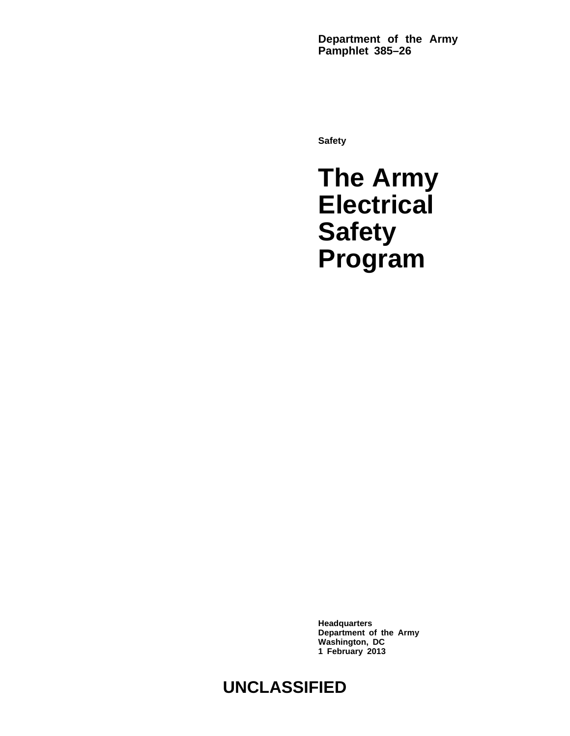**Department of the Army Pamphlet 385–26**

**Safety**

**The Army Electrical Safety Program**

**Headquarters Department of the Army Washington, DC 1 February 2013**

# **UNCLASSIFIED**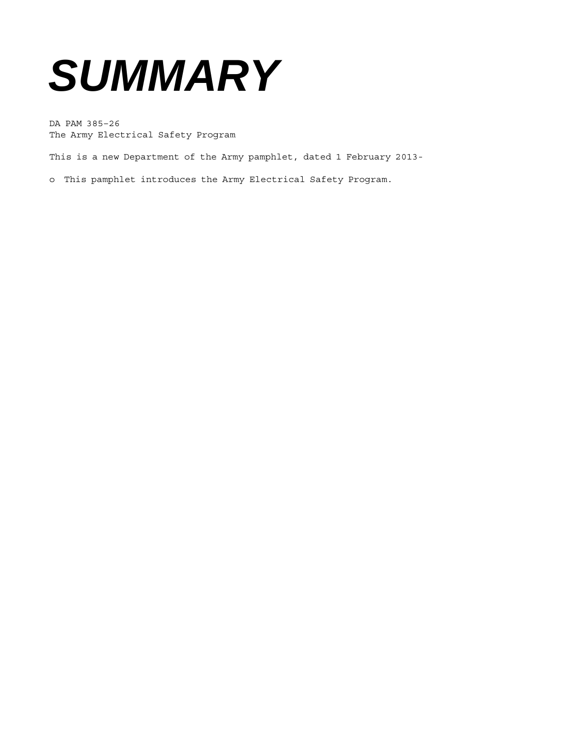# *SUMMARY*

DA PAM 385–26 The Army Electrical Safety Program

This is a new Department of the Army pamphlet, dated 1 February 2013-

o This pamphlet introduces the Army Electrical Safety Program.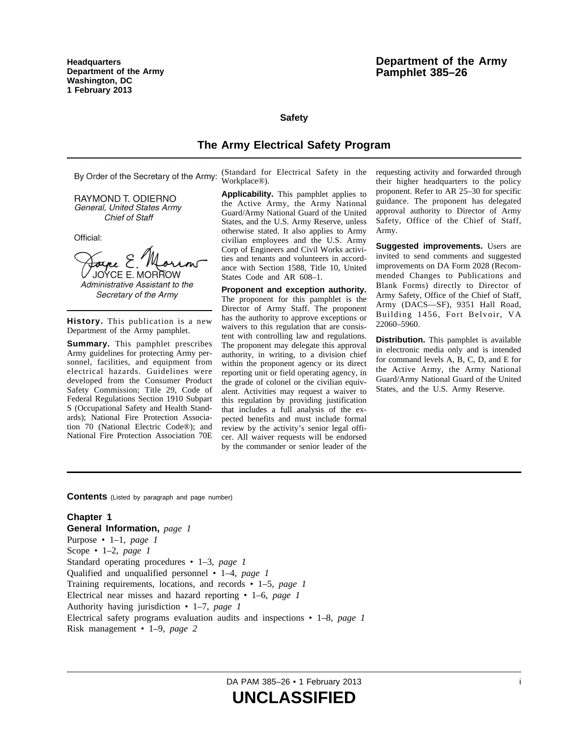**Headquarters Department of the Army Washington, DC 1 February 2013**

# **Department of the Army Pamphlet 385–26**

# **Safety**

# **The Army Electrical Safety Program**

By Order of the Secretary of the Army:

RAYMOND T. ODIERNO General, United States Army **Chief of Staff** 

Official:

JOYCE E. MORROW Administrative Assistant to the

Secretary of the Army

**History.** This publication is a new Department of the Army pamphlet.

**Summary.** This pamphlet prescribes Army guidelines for protecting Army personnel, facilities, and equipment from electrical hazards. Guidelines were developed from the Consumer Product Safety Commission; Title 29, Code of Federal Regulations Section 1910 Subpart S (Occupational Safety and Health Standards); National Fire Protection Association 70 (National Electric Code®); and National Fire Protection Association 70E

(Standard for Electrical Safety in the Workplace®).

**Applicability.** This pamphlet applies to the Active Army, the Army National Guard/Army National Guard of the United States, and the U.S. Army Reserve, unless otherwise stated. It also applies to Army civilian employees and the U.S. Army Corp of Engineers and Civil Works activities and tenants and volunteers in accordance with Section 1588, Title 10, United States Code and AR 608–1.

**Proponent and exception authority.** The proponent for this pamphlet is the Director of Army Staff. The proponent has the authority to approve exceptions or waivers to this regulation that are consistent with controlling law and regulations. The proponent may delegate this approval authority, in writing, to a division chief within the proponent agency or its direct reporting unit or field operating agency, in the grade of colonel or the civilian equivalent. Activities may request a waiver to this regulation by providing justification that includes a full analysis of the expected benefits and must include formal review by the activity's senior legal officer. All waiver requests will be endorsed by the commander or senior leader of the requesting activity and forwarded through their higher headquarters to the policy proponent. Refer to AR 25–30 for specific guidance. The proponent has delegated approval authority to Director of Army Safety, Office of the Chief of Staff, Army.

**Suggested improvements.** Users are invited to send comments and suggested improvements on DA Form 2028 (Recommended Changes to Publications and Blank Forms) directly to Director of Army Safety, Office of the Chief of Staff, Army (DACS-SF), 9351 Hall Road, Building 1456, Fort Belvoir, VA 22060–5960.

**Distribution.** This pamphlet is available in electronic media only and is intended for command levels A, B, C, D, and E for the Active Army, the Army National Guard/Army National Guard of the United States, and the U.S. Army Reserve.

**Contents** (Listed by paragraph and page number)

**Chapter 1 General Information,** *page 1* Purpose • 1–1, *page 1* Scope • 1–2, *page 1* Standard operating procedures • 1–3, *page 1* Qualified and unqualified personnel • 1–4, *page 1* Training requirements, locations, and records • 1–5, *page 1* Electrical near misses and hazard reporting • 1–6, *page 1* Authority having jurisdiction • 1–7, *page 1* Electrical safety programs evaluation audits and inspections • 1–8, *page 1* Risk management • 1–9, *page 2*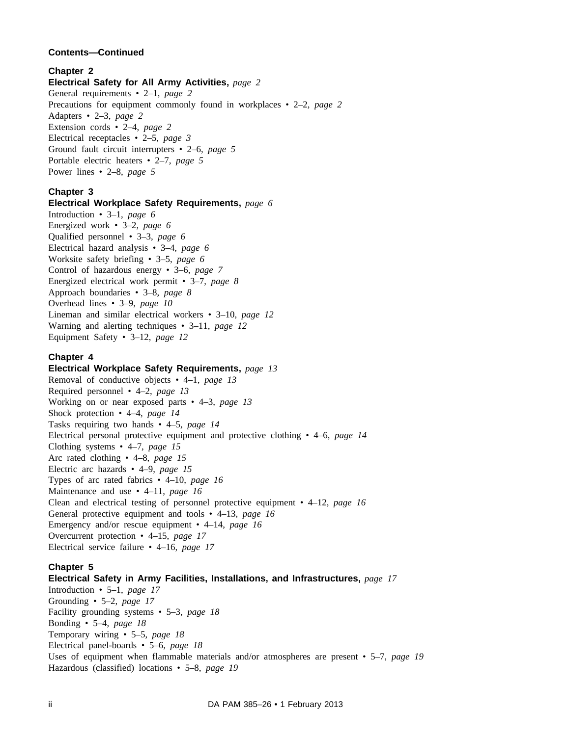# **Contents—Continued**

# **Chapter 2**

# **Electrical Safety for All Army Activities,** *page 2*

General requirements • 2–1, *page 2* Precautions for equipment commonly found in workplaces • 2–2, *page 2* Adapters • 2–3, *page 2* Extension cords • 2–4, *page 2* Electrical receptacles • 2–5, *page 3* Ground fault circuit interrupters • 2–6, *page 5* Portable electric heaters • 2–7, *page 5* Power lines • 2–8, *page 5*

# **Chapter 3**

# **Electrical Workplace Safety Requirements,** *page 6*

Introduction • 3–1, *page 6* Energized work • 3–2, *page 6* Qualified personnel • 3–3, *page 6* Electrical hazard analysis • 3–4, *page 6* Worksite safety briefing • 3–5, *page 6* Control of hazardous energy • 3–6, *page 7* Energized electrical work permit • 3–7, *page 8* Approach boundaries • 3–8, *page 8* Overhead lines • 3–9, *page 10* Lineman and similar electrical workers • 3–10, *page 12* Warning and alerting techniques • 3–11, *page 12* Equipment Safety • 3–12, *page 12*

# **Chapter 4**

# **Electrical Workplace Safety Requirements,** *page 13*

Removal of conductive objects • 4–1, *page 13* Required personnel • 4–2, *page 13* Working on or near exposed parts • 4–3, *page 13* Shock protection • 4–4, *page 14* Tasks requiring two hands • 4–5, *page 14* Electrical personal protective equipment and protective clothing • 4–6, *page 14* Clothing systems • 4–7, *page 15* Arc rated clothing • 4–8, *page 15* Electric arc hazards • 4–9, *page 15* Types of arc rated fabrics • 4–10, *page 16* Maintenance and use • 4–11, *page 16* Clean and electrical testing of personnel protective equipment • 4–12, *page 16* General protective equipment and tools • 4–13, *page 16* Emergency and/or rescue equipment • 4–14, *page 16* Overcurrent protection • 4–15, *page 17* Electrical service failure • 4–16, *page 17*

# **Chapter 5**

# **Electrical Safety in Army Facilities, Installations, and Infrastructures,** *page 17*

Introduction • 5–1, *page 17* Grounding • 5–2, *page 17* Facility grounding systems • 5–3, *page 18* Bonding • 5–4, *page 18* Temporary wiring • 5–5, *page 18* Electrical panel-boards • 5–6, *page 18* Uses of equipment when flammable materials and/or atmospheres are present • 5–7, *page 19* Hazardous (classified) locations • 5–8, *page 19*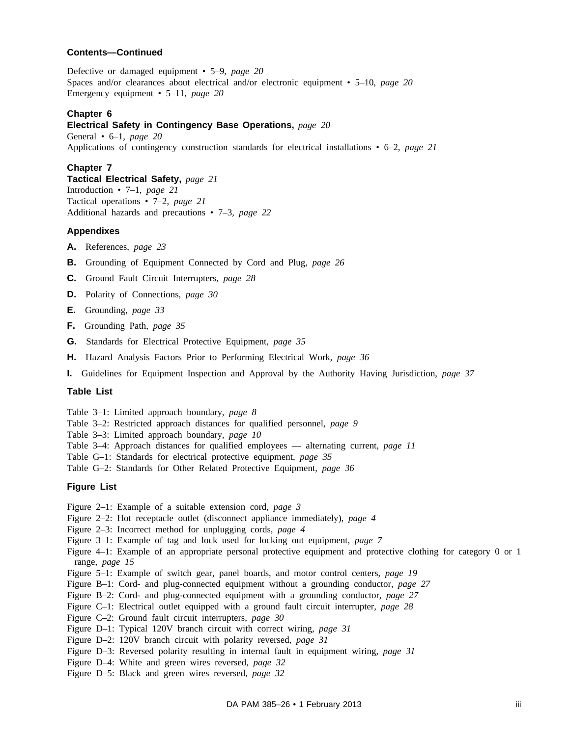# **Contents—Continued**

Defective or damaged equipment • 5–9, *page 20* Spaces and/or clearances about electrical and/or electronic equipment • 5–10, *page 20* Emergency equipment • 5–11, *page 20*

# **Chapter 6**

# **Electrical Safety in Contingency Base Operations,** *page 20*

General • 6–1, *page 20* Applications of contingency construction standards for electrical installations • 6–2, *page 21*

# **Chapter 7**

**Tactical Electrical Safety,** *page 21* Introduction • 7–1, *page 21* Tactical operations • 7–2, *page 21* Additional hazards and precautions • 7–3, *page 22*

# **Appendixes**

- **A.** References, *page 23*
- **B.** Grounding of Equipment Connected by Cord and Plug, *page 26*
- **C.** Ground Fault Circuit Interrupters, *page 28*
- **D.** Polarity of Connections, *page 30*
- **E.** Grounding, *page 33*
- **F.** Grounding Path, *page 35*
- **G.** Standards for Electrical Protective Equipment, *page 35*
- **H.** Hazard Analysis Factors Prior to Performing Electrical Work, *page 36*
- **I.** Guidelines for Equipment Inspection and Approval by the Authority Having Jurisdiction, *page 37*

### **Table List**

Table 3–1: Limited approach boundary, *page 8*

- Table 3–2: Restricted approach distances for qualified personnel, *page 9*
- Table 3–3: Limited approach boundary, *page 10*
- Table 3–4: Approach distances for qualified employees alternating current, *page 11*
- Table G–1: Standards for electrical protective equipment, *page 35*
- Table G–2: Standards for Other Related Protective Equipment, *page 36*

# **Figure List**

- Figure 2–1: Example of a suitable extension cord, *page 3*
- Figure 2–2: Hot receptacle outlet (disconnect appliance immediately), *page 4*
- Figure 2–3: Incorrect method for unplugging cords, *page 4*
- Figure 3–1: Example of tag and lock used for locking out equipment, *page 7*
- Figure 4–1: Example of an appropriate personal protective equipment and protective clothing for category 0 or 1 range, *page 15*
- Figure 5–1: Example of switch gear, panel boards, and motor control centers, *page 19*
- Figure B–1: Cord- and plug-connected equipment without a grounding conductor, *page 27*
- Figure B–2: Cord- and plug-connected equipment with a grounding conductor, *page 27*
- Figure C–1: Electrical outlet equipped with a ground fault circuit interrupter, *page 28*
- Figure C–2: Ground fault circuit interrupters, *page 30*
- Figure D–1: Typical 120V branch circuit with correct wiring, *page 31*
- Figure D–2: 120V branch circuit with polarity reversed, *page 31*
- Figure D–3: Reversed polarity resulting in internal fault in equipment wiring, *page 31*
- Figure D–4: White and green wires reversed, *page 32*
- Figure D–5: Black and green wires reversed, *page 32*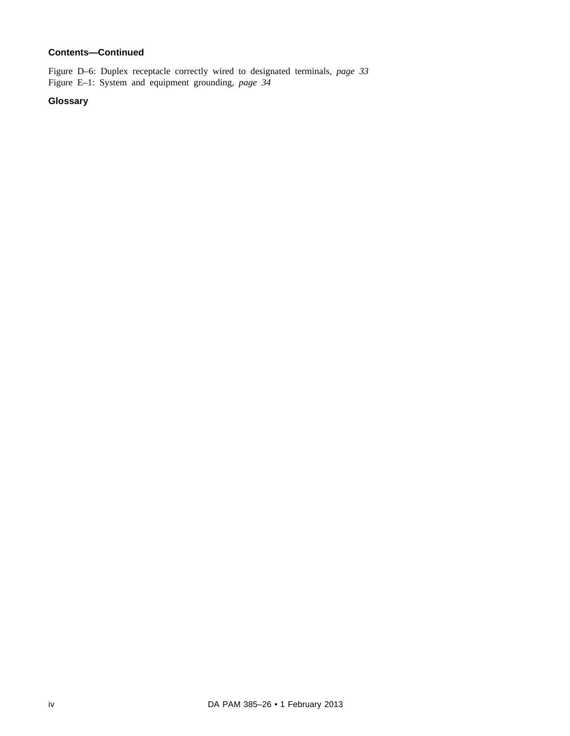# **Contents—Continued**

Figure D–6: Duplex receptacle correctly wired to designated terminals, *page 33* Figure E–1: System and equipment grounding, *page 34*

# **Glossary**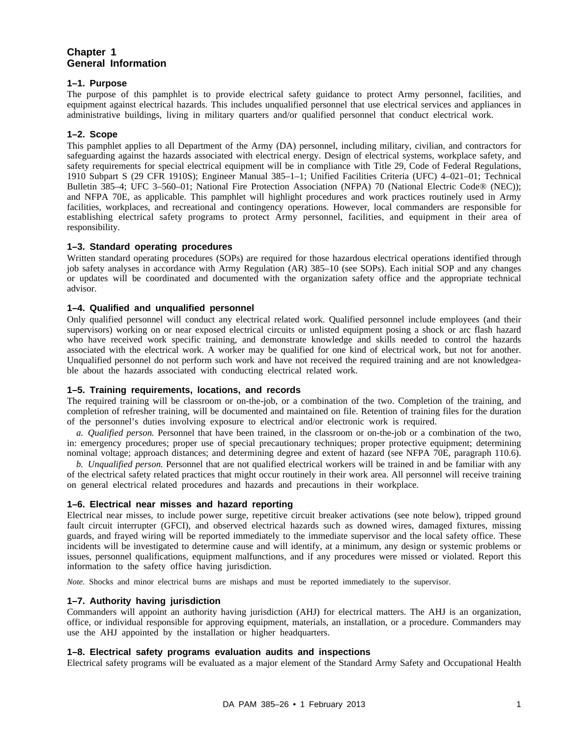# **Chapter 1 General Information**

# **1–1. Purpose**

The purpose of this pamphlet is to provide electrical safety guidance to protect Army personnel, facilities, and equipment against electrical hazards. This includes unqualified personnel that use electrical services and appliances in administrative buildings, living in military quarters and/or qualified personnel that conduct electrical work.

# **1–2. Scope**

This pamphlet applies to all Department of the Army (DA) personnel, including military, civilian, and contractors for safeguarding against the hazards associated with electrical energy. Design of electrical systems, workplace safety, and safety requirements for special electrical equipment will be in compliance with Title 29, Code of Federal Regulations, 1910 Subpart S (29 CFR 1910S); Engineer Manual 385–1–1; Unified Facilities Criteria (UFC) 4–021–01; Technical Bulletin 385–4; UFC 3–560–01; National Fire Protection Association (NFPA) 70 (National Electric Code® (NEC)); and NFPA 70E, as applicable. This pamphlet will highlight procedures and work practices routinely used in Army facilities, workplaces, and recreational and contingency operations. However, local commanders are responsible for establishing electrical safety programs to protect Army personnel, facilities, and equipment in their area of responsibility.

# **1–3. Standard operating procedures**

Written standard operating procedures (SOPs) are required for those hazardous electrical operations identified through job safety analyses in accordance with Army Regulation (AR) 385–10 (see SOPs). Each initial SOP and any changes or updates will be coordinated and documented with the organization safety office and the appropriate technical advisor.

# **1–4. Qualified and unqualified personnel**

Only qualified personnel will conduct any electrical related work. Qualified personnel include employees (and their supervisors) working on or near exposed electrical circuits or unlisted equipment posing a shock or arc flash hazard who have received work specific training, and demonstrate knowledge and skills needed to control the hazards associated with the electrical work. A worker may be qualified for one kind of electrical work, but not for another. Unqualified personnel do not perform such work and have not received the required training and are not knowledgeable about the hazards associated with conducting electrical related work.

# **1–5. Training requirements, locations, and records**

The required training will be classroom or on-the-job, or a combination of the two. Completion of the training, and completion of refresher training, will be documented and maintained on file. Retention of training files for the duration of the personnel's duties involving exposure to electrical and/or electronic work is required.

*a. Qualified person.* Personnel that have been trained, in the classroom or on-the-job or a combination of the two, in: emergency procedures; proper use of special precautionary techniques; proper protective equipment; determining nominal voltage; approach distances; and determining degree and extent of hazard (see NFPA 70E, paragraph 110.6).

*b. Unqualified person.* Personnel that are not qualified electrical workers will be trained in and be familiar with any of the electrical safety related practices that might occur routinely in their work area. All personnel will receive training on general electrical related procedures and hazards and precautions in their workplace.

# **1–6. Electrical near misses and hazard reporting**

Electrical near misses, to include power surge, repetitive circuit breaker activations (see note below), tripped ground fault circuit interrupter (GFCI), and observed electrical hazards such as downed wires, damaged fixtures, missing guards, and frayed wiring will be reported immediately to the immediate supervisor and the local safety office. These incidents will be investigated to determine cause and will identify, at a minimum, any design or systemic problems or issues, personnel qualifications, equipment malfunctions, and if any procedures were missed or violated. Report this information to the safety office having jurisdiction.

*Note.* Shocks and minor electrical burns are mishaps and must be reported immediately to the supervisor.

# **1–7. Authority having jurisdiction**

Commanders will appoint an authority having jurisdiction (AHJ) for electrical matters. The AHJ is an organization, office, or individual responsible for approving equipment, materials, an installation, or a procedure. Commanders may use the AHJ appointed by the installation or higher headquarters.

# **1–8. Electrical safety programs evaluation audits and inspections**

Electrical safety programs will be evaluated as a major element of the Standard Army Safety and Occupational Health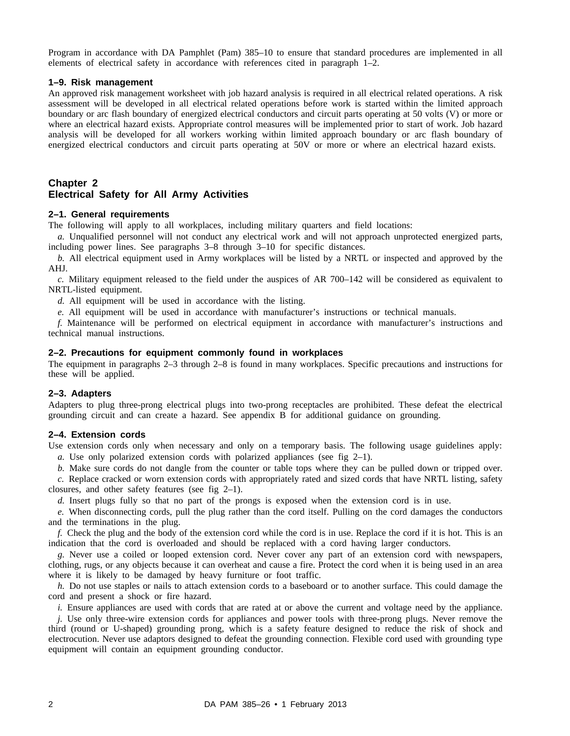Program in accordance with DA Pamphlet (Pam) 385–10 to ensure that standard procedures are implemented in all elements of electrical safety in accordance with references cited in paragraph 1–2.

# **1–9. Risk management**

An approved risk management worksheet with job hazard analysis is required in all electrical related operations. A risk assessment will be developed in all electrical related operations before work is started within the limited approach boundary or arc flash boundary of energized electrical conductors and circuit parts operating at 50 volts (V) or more or where an electrical hazard exists. Appropriate control measures will be implemented prior to start of work. Job hazard analysis will be developed for all workers working within limited approach boundary or arc flash boundary of energized electrical conductors and circuit parts operating at 50V or more or where an electrical hazard exists.

# **Chapter 2 Electrical Safety for All Army Activities**

# **2–1. General requirements**

The following will apply to all workplaces, including military quarters and field locations:

*a.* Unqualified personnel will not conduct any electrical work and will not approach unprotected energized parts, including power lines. See paragraphs 3–8 through 3–10 for specific distances.

*b.* All electrical equipment used in Army workplaces will be listed by a NRTL or inspected and approved by the AHJ.

*c.* Military equipment released to the field under the auspices of AR 700–142 will be considered as equivalent to NRTL-listed equipment.

*d.* All equipment will be used in accordance with the listing.

*e.* All equipment will be used in accordance with manufacturer's instructions or technical manuals.

*f.* Maintenance will be performed on electrical equipment in accordance with manufacturer's instructions and technical manual instructions.

# **2–2. Precautions for equipment commonly found in workplaces**

The equipment in paragraphs 2–3 through 2–8 is found in many workplaces. Specific precautions and instructions for these will be applied.

# **2–3. Adapters**

Adapters to plug three-prong electrical plugs into two-prong receptacles are prohibited. These defeat the electrical grounding circuit and can create a hazard. See appendix B for additional guidance on grounding.

# **2–4. Extension cords**

Use extension cords only when necessary and only on a temporary basis. The following usage guidelines apply: *a.* Use only polarized extension cords with polarized appliances (see fig 2–1).

*b.* Make sure cords do not dangle from the counter or table tops where they can be pulled down or tripped over.

*c.* Replace cracked or worn extension cords with appropriately rated and sized cords that have NRTL listing, safety closures, and other safety features (see fig 2–1).

*d.* Insert plugs fully so that no part of the prongs is exposed when the extension cord is in use.

*e.* When disconnecting cords, pull the plug rather than the cord itself. Pulling on the cord damages the conductors and the terminations in the plug.

*f.* Check the plug and the body of the extension cord while the cord is in use. Replace the cord if it is hot. This is an indication that the cord is overloaded and should be replaced with a cord having larger conductors.

*g.* Never use a coiled or looped extension cord. Never cover any part of an extension cord with newspapers, clothing, rugs, or any objects because it can overheat and cause a fire. Protect the cord when it is being used in an area where it is likely to be damaged by heavy furniture or foot traffic.

*h.* Do not use staples or nails to attach extension cords to a baseboard or to another surface. This could damage the cord and present a shock or fire hazard.

*i.* Ensure appliances are used with cords that are rated at or above the current and voltage need by the appliance.

*j.* Use only three-wire extension cords for appliances and power tools with three-prong plugs. Never remove the third (round or U-shaped) grounding prong, which is a safety feature designed to reduce the risk of shock and electrocution. Never use adaptors designed to defeat the grounding connection. Flexible cord used with grounding type equipment will contain an equipment grounding conductor.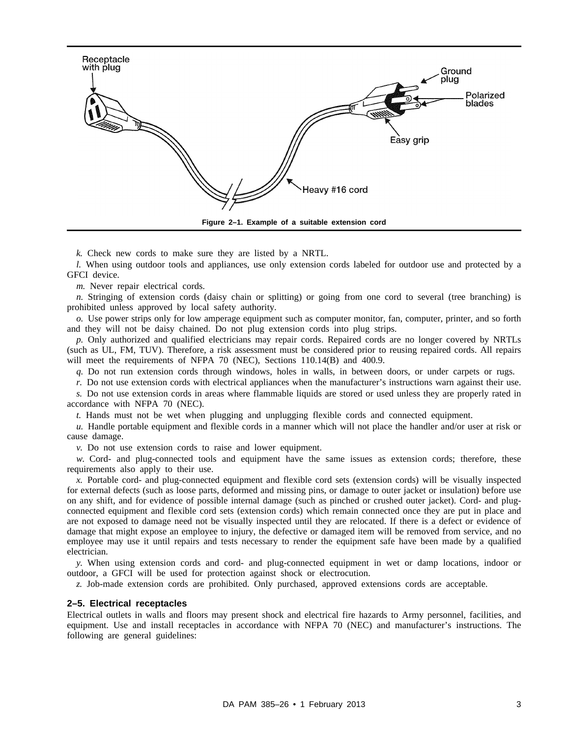

*k.* Check new cords to make sure they are listed by a NRTL.

*l.* When using outdoor tools and appliances, use only extension cords labeled for outdoor use and protected by a GFCI device.

*m.* Never repair electrical cords.

*n.* Stringing of extension cords (daisy chain or splitting) or going from one cord to several (tree branching) is prohibited unless approved by local safety authority.

*o.* Use power strips only for low amperage equipment such as computer monitor, fan, computer, printer, and so forth and they will not be daisy chained. Do not plug extension cords into plug strips.

*p.* Only authorized and qualified electricians may repair cords. Repaired cords are no longer covered by NRTLs (such as UL, FM, TUV). Therefore, a risk assessment must be considered prior to reusing repaired cords. All repairs will meet the requirements of NFPA 70 (NEC), Sections 110.14(B) and 400.9.

*q.* Do not run extension cords through windows, holes in walls, in between doors, or under carpets or rugs.

*r.* Do not use extension cords with electrical appliances when the manufacturer's instructions warn against their use.

*s.* Do not use extension cords in areas where flammable liquids are stored or used unless they are properly rated in accordance with NFPA 70 (NEC).

*t.* Hands must not be wet when plugging and unplugging flexible cords and connected equipment.

*u.* Handle portable equipment and flexible cords in a manner which will not place the handler and/or user at risk or cause damage.

*v.* Do not use extension cords to raise and lower equipment.

*w.* Cord- and plug-connected tools and equipment have the same issues as extension cords; therefore, these requirements also apply to their use.

*x.* Portable cord- and plug-connected equipment and flexible cord sets (extension cords) will be visually inspected for external defects (such as loose parts, deformed and missing pins, or damage to outer jacket or insulation) before use on any shift, and for evidence of possible internal damage (such as pinched or crushed outer jacket). Cord- and plugconnected equipment and flexible cord sets (extension cords) which remain connected once they are put in place and are not exposed to damage need not be visually inspected until they are relocated. If there is a defect or evidence of damage that might expose an employee to injury, the defective or damaged item will be removed from service, and no employee may use it until repairs and tests necessary to render the equipment safe have been made by a qualified electrician.

*y.* When using extension cords and cord- and plug-connected equipment in wet or damp locations, indoor or outdoor, a GFCI will be used for protection against shock or electrocution.

*z.* Job-made extension cords are prohibited. Only purchased, approved extensions cords are acceptable.

# **2–5. Electrical receptacles**

Electrical outlets in walls and floors may present shock and electrical fire hazards to Army personnel, facilities, and equipment. Use and install receptacles in accordance with NFPA 70 (NEC) and manufacturer's instructions. The following are general guidelines: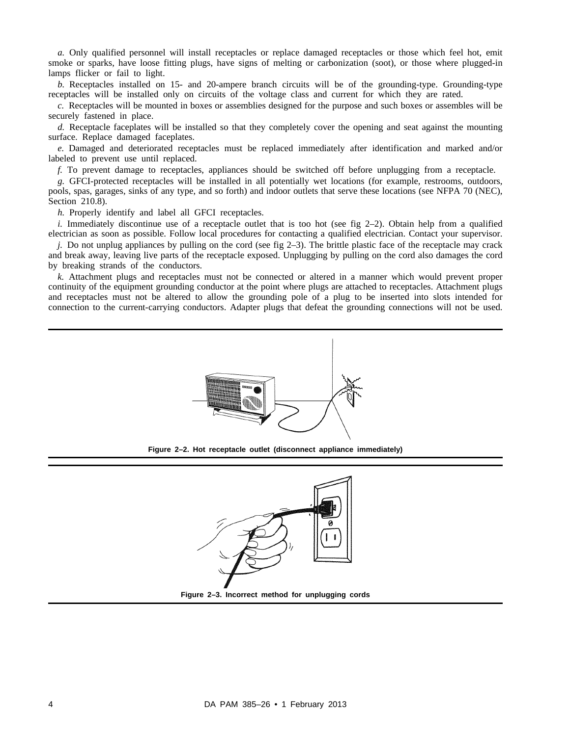*a.* Only qualified personnel will install receptacles or replace damaged receptacles or those which feel hot, emit smoke or sparks, have loose fitting plugs, have signs of melting or carbonization (soot), or those where plugged-in lamps flicker or fail to light.

*b.* Receptacles installed on 15- and 20-ampere branch circuits will be of the grounding-type. Grounding-type receptacles will be installed only on circuits of the voltage class and current for which they are rated.

*c.* Receptacles will be mounted in boxes or assemblies designed for the purpose and such boxes or assembles will be securely fastened in place.

*d.* Receptacle faceplates will be installed so that they completely cover the opening and seat against the mounting surface. Replace damaged faceplates.

*e.* Damaged and deteriorated receptacles must be replaced immediately after identification and marked and/or labeled to prevent use until replaced.

*f.* To prevent damage to receptacles, appliances should be switched off before unplugging from a receptacle.

*g.* GFCI-protected receptacles will be installed in all potentially wet locations (for example, restrooms, outdoors, pools, spas, garages, sinks of any type, and so forth) and indoor outlets that serve these locations (see NFPA 70 (NEC), Section 210.8).

*h.* Properly identify and label all GFCI receptacles.

*i.* Immediately discontinue use of a receptacle outlet that is too hot (see fig 2–2). Obtain help from a qualified electrician as soon as possible. Follow local procedures for contacting a qualified electrician. Contact your supervisor.

*j.* Do not unplug appliances by pulling on the cord (see fig 2–3). The brittle plastic face of the receptacle may crack and break away, leaving live parts of the receptacle exposed. Unplugging by pulling on the cord also damages the cord by breaking strands of the conductors.

*k.* Attachment plugs and receptacles must not be connected or altered in a manner which would prevent proper continuity of the equipment grounding conductor at the point where plugs are attached to receptacles. Attachment plugs and receptacles must not be altered to allow the grounding pole of a plug to be inserted into slots intended for connection to the current-carrying conductors. Adapter plugs that defeat the grounding connections will not be used.



**Figure 2–2. Hot receptacle outlet (disconnect appliance immediately)**



**Figure 2–3. Incorrect method for unplugging cords**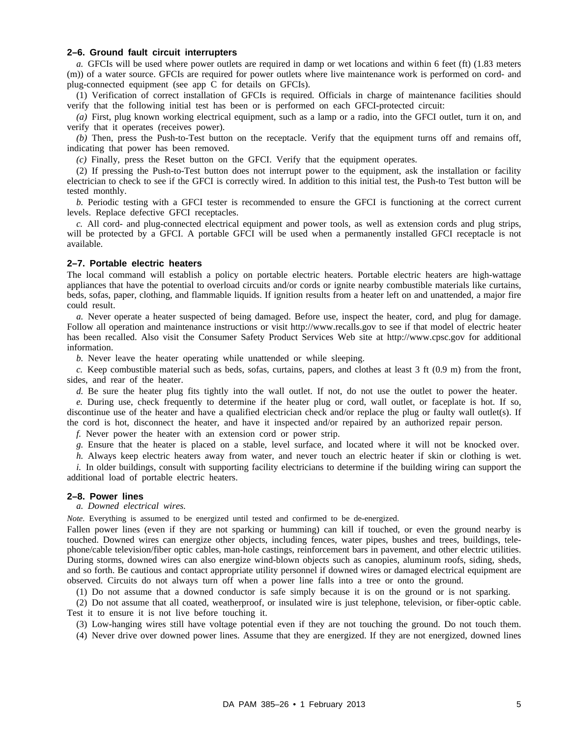### **2–6. Ground fault circuit interrupters**

*a.* GFCIs will be used where power outlets are required in damp or wet locations and within 6 feet (ft) (1.83 meters (m)) of a water source. GFCIs are required for power outlets where live maintenance work is performed on cord- and plug-connected equipment (see app C for details on GFCIs).

(1) Verification of correct installation of GFCIs is required. Officials in charge of maintenance facilities should verify that the following initial test has been or is performed on each GFCI-protected circuit:

*(a)* First, plug known working electrical equipment, such as a lamp or a radio, into the GFCI outlet, turn it on, and verify that it operates (receives power).

*(b)* Then, press the Push-to-Test button on the receptacle. Verify that the equipment turns off and remains off, indicating that power has been removed.

*(c)* Finally, press the Reset button on the GFCI. Verify that the equipment operates.

(2) If pressing the Push-to-Test button does not interrupt power to the equipment, ask the installation or facility electrician to check to see if the GFCI is correctly wired. In addition to this initial test, the Push-to Test button will be tested monthly.

*b.* Periodic testing with a GFCI tester is recommended to ensure the GFCI is functioning at the correct current levels. Replace defective GFCI receptacles.

*c.* All cord- and plug-connected electrical equipment and power tools, as well as extension cords and plug strips, will be protected by a GFCI. A portable GFCI will be used when a permanently installed GFCI receptacle is not available.

# **2–7. Portable electric heaters**

The local command will establish a policy on portable electric heaters. Portable electric heaters are high-wattage appliances that have the potential to overload circuits and/or cords or ignite nearby combustible materials like curtains, beds, sofas, paper, clothing, and flammable liquids. If ignition results from a heater left on and unattended, a major fire could result.

*a.* Never operate a heater suspected of being damaged. Before use, inspect the heater, cord, and plug for damage. Follow all operation and maintenance instructions or visit http://www.recalls.gov to see if that model of electric heater has been recalled. Also visit the Consumer Safety Product Services Web site at http://www.cpsc.gov for additional information.

*b.* Never leave the heater operating while unattended or while sleeping.

*c.* Keep combustible material such as beds, sofas, curtains, papers, and clothes at least 3 ft (0.9 m) from the front, sides, and rear of the heater.

*d.* Be sure the heater plug fits tightly into the wall outlet. If not, do not use the outlet to power the heater.

*e.* During use, check frequently to determine if the heater plug or cord, wall outlet, or faceplate is hot. If so, discontinue use of the heater and have a qualified electrician check and/or replace the plug or faulty wall outlet(s). If the cord is hot, disconnect the heater, and have it inspected and/or repaired by an authorized repair person.

*f.* Never power the heater with an extension cord or power strip.

*g.* Ensure that the heater is placed on a stable, level surface, and located where it will not be knocked over.

*h.* Always keep electric heaters away from water, and never touch an electric heater if skin or clothing is wet.

*i.* In older buildings, consult with supporting facility electricians to determine if the building wiring can support the additional load of portable electric heaters.

# **2–8. Power lines**

# *a. Downed electrical wires.*

*Note.* Everything is assumed to be energized until tested and confirmed to be de-energized.

Fallen power lines (even if they are not sparking or humming) can kill if touched, or even the ground nearby is touched. Downed wires can energize other objects, including fences, water pipes, bushes and trees, buildings, telephone/cable television/fiber optic cables, man-hole castings, reinforcement bars in pavement, and other electric utilities. During storms, downed wires can also energize wind-blown objects such as canopies, aluminum roofs, siding, sheds, and so forth. Be cautious and contact appropriate utility personnel if downed wires or damaged electrical equipment are observed. Circuits do not always turn off when a power line falls into a tree or onto the ground.

(1) Do not assume that a downed conductor is safe simply because it is on the ground or is not sparking.

(2) Do not assume that all coated, weatherproof, or insulated wire is just telephone, television, or fiber-optic cable. Test it to ensure it is not live before touching it.

(3) Low-hanging wires still have voltage potential even if they are not touching the ground. Do not touch them.

(4) Never drive over downed power lines. Assume that they are energized. If they are not energized, downed lines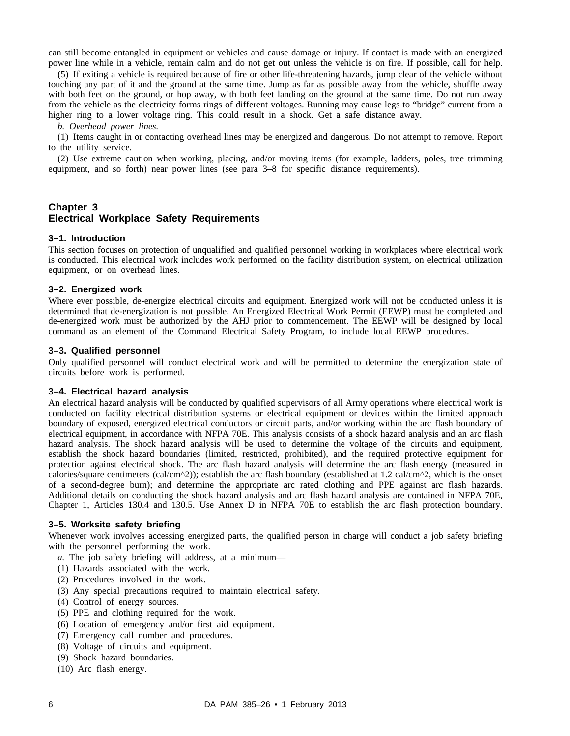can still become entangled in equipment or vehicles and cause damage or injury. If contact is made with an energized power line while in a vehicle, remain calm and do not get out unless the vehicle is on fire. If possible, call for help.

(5) If exiting a vehicle is required because of fire or other life-threatening hazards, jump clear of the vehicle without touching any part of it and the ground at the same time. Jump as far as possible away from the vehicle, shuffle away with both feet on the ground, or hop away, with both feet landing on the ground at the same time. Do not run away from the vehicle as the electricity forms rings of different voltages. Running may cause legs to "bridge" current from a higher ring to a lower voltage ring. This could result in a shock. Get a safe distance away.

*b. Overhead power lines.*

(1) Items caught in or contacting overhead lines may be energized and dangerous. Do not attempt to remove. Report to the utility service.

(2) Use extreme caution when working, placing, and/or moving items (for example, ladders, poles, tree trimming equipment, and so forth) near power lines (see para 3–8 for specific distance requirements).

# **Chapter 3 Electrical Workplace Safety Requirements**

### **3–1. Introduction**

This section focuses on protection of unqualified and qualified personnel working in workplaces where electrical work is conducted. This electrical work includes work performed on the facility distribution system, on electrical utilization equipment, or on overhead lines.

# **3–2. Energized work**

Where ever possible, de-energize electrical circuits and equipment. Energized work will not be conducted unless it is determined that de-energization is not possible. An Energized Electrical Work Permit (EEWP) must be completed and de-energized work must be authorized by the AHJ prior to commencement. The EEWP will be designed by local command as an element of the Command Electrical Safety Program, to include local EEWP procedures.

# **3–3. Qualified personnel**

Only qualified personnel will conduct electrical work and will be permitted to determine the energization state of circuits before work is performed.

### **3–4. Electrical hazard analysis**

An electrical hazard analysis will be conducted by qualified supervisors of all Army operations where electrical work is conducted on facility electrical distribution systems or electrical equipment or devices within the limited approach boundary of exposed, energized electrical conductors or circuit parts, and/or working within the arc flash boundary of electrical equipment, in accordance with NFPA 70E. This analysis consists of a shock hazard analysis and an arc flash hazard analysis. The shock hazard analysis will be used to determine the voltage of the circuits and equipment, establish the shock hazard boundaries (limited, restricted, prohibited), and the required protective equipment for protection against electrical shock. The arc flash hazard analysis will determine the arc flash energy (measured in calories/square centimeters (cal/cm^2)); establish the arc flash boundary (established at 1.2 cal/cm^2, which is the onset of a second-degree burn); and determine the appropriate arc rated clothing and PPE against arc flash hazards. Additional details on conducting the shock hazard analysis and arc flash hazard analysis are contained in NFPA 70E, Chapter 1, Articles 130.4 and 130.5. Use Annex D in NFPA 70E to establish the arc flash protection boundary.

# **3–5. Worksite safety briefing**

Whenever work involves accessing energized parts, the qualified person in charge will conduct a job safety briefing with the personnel performing the work.

- *a.* The job safety briefing will address, at a minimum—
- (1) Hazards associated with the work.
- (2) Procedures involved in the work.
- (3) Any special precautions required to maintain electrical safety.
- (4) Control of energy sources.
- (5) PPE and clothing required for the work.
- (6) Location of emergency and/or first aid equipment.
- (7) Emergency call number and procedures.
- (8) Voltage of circuits and equipment.
- (9) Shock hazard boundaries.
- (10) Arc flash energy.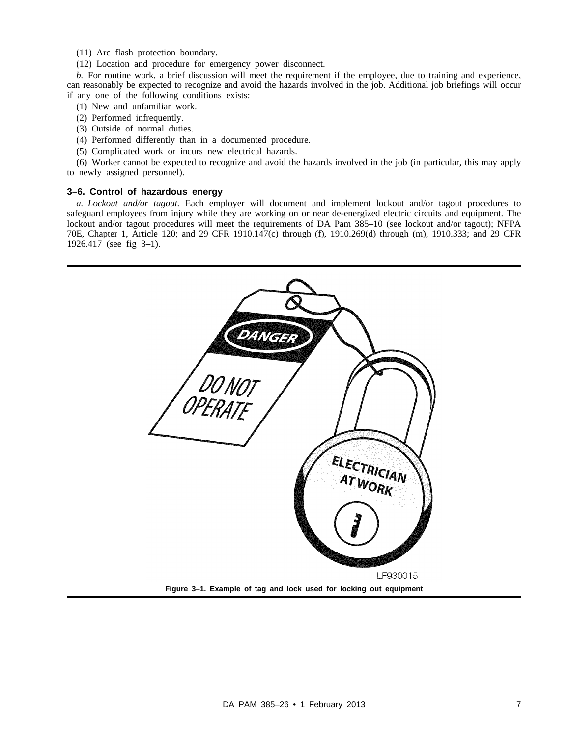(11) Arc flash protection boundary.

(12) Location and procedure for emergency power disconnect.

*b.* For routine work, a brief discussion will meet the requirement if the employee, due to training and experience, can reasonably be expected to recognize and avoid the hazards involved in the job. Additional job briefings will occur if any one of the following conditions exists:

- (1) New and unfamiliar work.
- (2) Performed infrequently.
- (3) Outside of normal duties.
- (4) Performed differently than in a documented procedure.
- (5) Complicated work or incurs new electrical hazards.

(6) Worker cannot be expected to recognize and avoid the hazards involved in the job (in particular, this may apply to newly assigned personnel).

# **3–6. Control of hazardous energy**

*a. Lockout and/or tagout.* Each employer will document and implement lockout and/or tagout procedures to safeguard employees from injury while they are working on or near de-energized electric circuits and equipment. The lockout and/or tagout procedures will meet the requirements of DA Pam 385–10 (see lockout and/or tagout); NFPA 70E, Chapter 1, Article 120; and 29 CFR 1910.147(c) through (f), 1910.269(d) through (m), 1910.333; and 29 CFR 1926.417 (see fig 3–1).

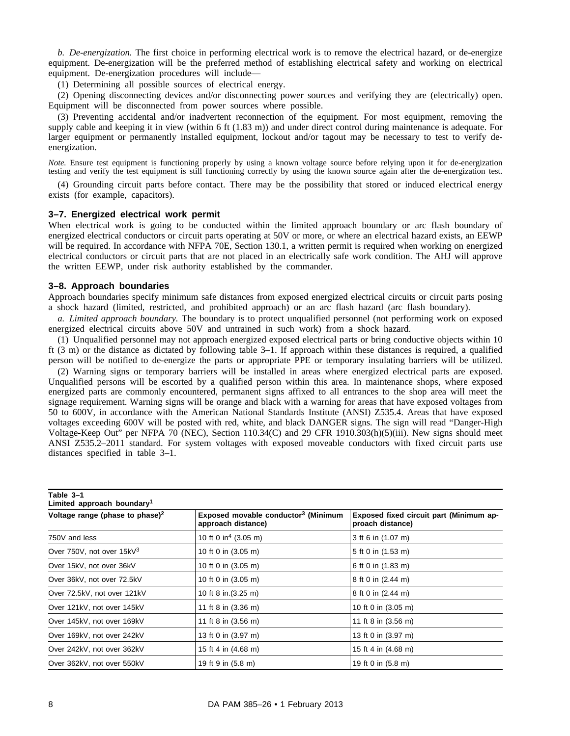*b. De-energization.* The first choice in performing electrical work is to remove the electrical hazard, or de-energize equipment. De-energization will be the preferred method of establishing electrical safety and working on electrical equipment. De-energization procedures will include—

(1) Determining all possible sources of electrical energy.

(2) Opening disconnecting devices and/or disconnecting power sources and verifying they are (electrically) open. Equipment will be disconnected from power sources where possible.

(3) Preventing accidental and/or inadvertent reconnection of the equipment. For most equipment, removing the supply cable and keeping it in view (within 6 ft (1.83 m)) and under direct control during maintenance is adequate. For larger equipment or permanently installed equipment, lockout and/or tagout may be necessary to test to verify deenergization.

*Note.* Ensure test equipment is functioning properly by using a known voltage source before relying upon it for de-energization testing and verify the test equipment is still functioning correctly by using the known source again after the de-energization test.

(4) Grounding circuit parts before contact. There may be the possibility that stored or induced electrical energy exists (for example, capacitors).

# **3–7. Energized electrical work permit**

When electrical work is going to be conducted within the limited approach boundary or arc flash boundary of energized electrical conductors or circuit parts operating at 50V or more, or where an electrical hazard exists, an EEWP will be required. In accordance with NFPA 70E, Section 130.1, a written permit is required when working on energized electrical conductors or circuit parts that are not placed in an electrically safe work condition. The AHJ will approve the written EEWP, under risk authority established by the commander.

# **3–8. Approach boundaries**

Approach boundaries specify minimum safe distances from exposed energized electrical circuits or circuit parts posing a shock hazard (limited, restricted, and prohibited approach) or an arc flash hazard (arc flash boundary).

*a. Limited approach boundary.* The boundary is to protect unqualified personnel (not performing work on exposed energized electrical circuits above 50V and untrained in such work) from a shock hazard.

(1) Unqualified personnel may not approach energized exposed electrical parts or bring conductive objects within 10 ft (3 m) or the distance as dictated by following table 3–1. If approach within these distances is required, a qualified person will be notified to de-energize the parts or appropriate PPE or temporary insulating barriers will be utilized.

(2) Warning signs or temporary barriers will be installed in areas where energized electrical parts are exposed. Unqualified persons will be escorted by a qualified person within this area. In maintenance shops, where exposed energized parts are commonly encountered, permanent signs affixed to all entrances to the shop area will meet the signage requirement. Warning signs will be orange and black with a warning for areas that have exposed voltages from 50 to 600V, in accordance with the American National Standards Institute (ANSI) Z535.4. Areas that have exposed voltages exceeding 600V will be posted with red, white, and black DANGER signs. The sign will read "Danger-High Voltage-Keep Out" per NFPA 70 (NEC), Section 110.34(C) and 29 CFR 1910.303(h)(5)(iii). New signs should meet ANSI Z535.2–2011 standard. For system voltages with exposed moveable conductors with fixed circuit parts use distances specified in table 3–1.

| Table 3-1<br>Limited approach boundary <sup>1</sup> |                                                                       |                                                             |  |
|-----------------------------------------------------|-----------------------------------------------------------------------|-------------------------------------------------------------|--|
| Voltage range (phase to phase) $2$                  | Exposed movable conductor <sup>3</sup> (Minimum<br>approach distance) | Exposed fixed circuit part (Minimum ap-<br>proach distance) |  |
| 750V and less                                       | 10 ft 0 in <sup>4</sup> (3.05 m)                                      | 3 ft 6 in (1.07 m)                                          |  |
| Over 750V, not over 15kV <sup>3</sup>               | 10 ft 0 in (3.05 m)                                                   | 5 ft 0 in (1.53 m)                                          |  |
| Over 15kV, not over 36kV                            | 10 ft 0 in (3.05 m)                                                   | 6 ft 0 in (1.83 m)                                          |  |
| Over 36kV, not over 72.5kV                          | 10 ft 0 in (3.05 m)                                                   | 8 ft 0 in (2.44 m)                                          |  |
| Over 72.5kV, not over 121kV                         | 10 ft 8 in. (3.25 m)                                                  | 8 ft 0 in (2.44 m)                                          |  |
| Over 121kV, not over 145kV                          | 11 ft 8 in (3.36 m)                                                   | 10 ft 0 in (3.05 m)                                         |  |
| 11 ft 8 in (3.56 m)<br>Over 145kV, not over 169kV   |                                                                       | 11 ft 8 in (3.56 m)                                         |  |
| 13 ft 0 in (3.97 m)<br>Over 169kV, not over 242kV   |                                                                       | 13 ft 0 in (3.97 m)                                         |  |
| Over 242kV, not over 362kV                          | 15 ft 4 in (4.68 m)                                                   | 15 ft 4 in (4.68 m)                                         |  |
| Over 362kV, not over 550kV                          | 19 ft 9 in (5.8 m)                                                    | 19 ft 0 in (5.8 m)                                          |  |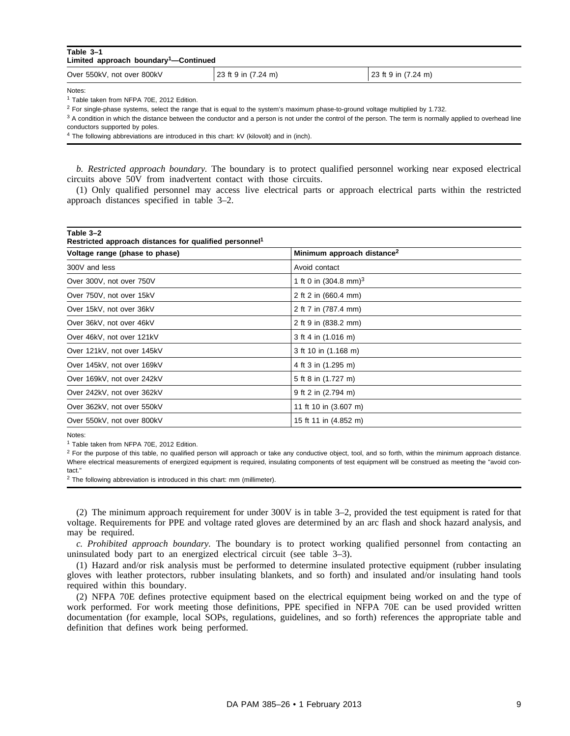| Table 3-1<br>Limited approach boundary <sup>1</sup> -Continued |                     |                                  |  |
|----------------------------------------------------------------|---------------------|----------------------------------|--|
| Over 550kV, not over 800kV                                     | 23 ft 9 in (7.24 m) | $ 23$ ft 9 in $(7.24 \text{ m})$ |  |

Notes:

<sup>1</sup> Table taken from NFPA 70E, 2012 Edition.

<sup>2</sup> For single-phase systems, select the range that is equal to the system's maximum phase-to-ground voltage multiplied by 1.732.

 $3$  A condition in which the distance between the conductor and a person is not under the control of the person. The term is normally applied to overhead line conductors supported by poles.

<sup>4</sup> The following abbreviations are introduced in this chart: kV (kilovolt) and in (inch).

*b. Restricted approach boundary.* The boundary is to protect qualified personnel working near exposed electrical circuits above 50V from inadvertent contact with those circuits.

(1) Only qualified personnel may access live electrical parts or approach electrical parts within the restricted approach distances specified in table 3–2.

| Table 3-2<br>Restricted approach distances for qualified personnel <sup>1</sup> |                                        |  |
|---------------------------------------------------------------------------------|----------------------------------------|--|
| Voltage range (phase to phase)                                                  | Minimum approach distance <sup>2</sup> |  |
| 300V and less                                                                   | Avoid contact                          |  |
| Over 300V, not over 750V                                                        | 1 ft 0 in $(304.8 \text{ mm})^3$       |  |
| Over 750V, not over 15kV                                                        | 2 ft 2 in (660.4 mm)                   |  |
| Over 15kV, not over 36kV                                                        | 2 ft 7 in (787.4 mm)                   |  |
| Over 36kV, not over 46kV                                                        | 2 ft 9 in (838.2 mm)                   |  |
| Over 46kV, not over 121kV                                                       | 3 ft 4 in (1.016 m)                    |  |
| Over 121kV, not over 145kV                                                      | 3 ft 10 in (1.168 m)                   |  |
| Over 145kV, not over 169kV                                                      | 4 ft 3 in (1.295 m)                    |  |
| Over 169kV, not over 242kV                                                      | 5 ft 8 in (1.727 m)                    |  |
| Over 242kV, not over 362kV                                                      | 9 ft 2 in (2.794 m)                    |  |
| Over 362kV, not over 550kV                                                      | 11 ft 10 in (3.607 m)                  |  |
| Over 550kV, not over 800kV                                                      | 15 ft 11 in (4.852 m)                  |  |

Notes:

<sup>1</sup> Table taken from NFPA 70E, 2012 Edition.

<sup>2</sup> For the purpose of this table, no qualified person will approach or take any conductive object, tool, and so forth, within the minimum approach distance. Where electrical measurements of energized equipment is required, insulating components of test equipment will be construed as meeting the "avoid contact."

 $2$  The following abbreviation is introduced in this chart: mm (millimeter).

(2) The minimum approach requirement for under 300V is in table 3–2, provided the test equipment is rated for that voltage. Requirements for PPE and voltage rated gloves are determined by an arc flash and shock hazard analysis, and may be required.

*c. Prohibited approach boundary.* The boundary is to protect working qualified personnel from contacting an uninsulated body part to an energized electrical circuit (see table 3–3).

(1) Hazard and/or risk analysis must be performed to determine insulated protective equipment (rubber insulating gloves with leather protectors, rubber insulating blankets, and so forth) and insulated and/or insulating hand tools required within this boundary.

(2) NFPA 70E defines protective equipment based on the electrical equipment being worked on and the type of work performed. For work meeting those definitions, PPE specified in NFPA 70E can be used provided written documentation (for example, local SOPs, regulations, guidelines, and so forth) references the appropriate table and definition that defines work being performed.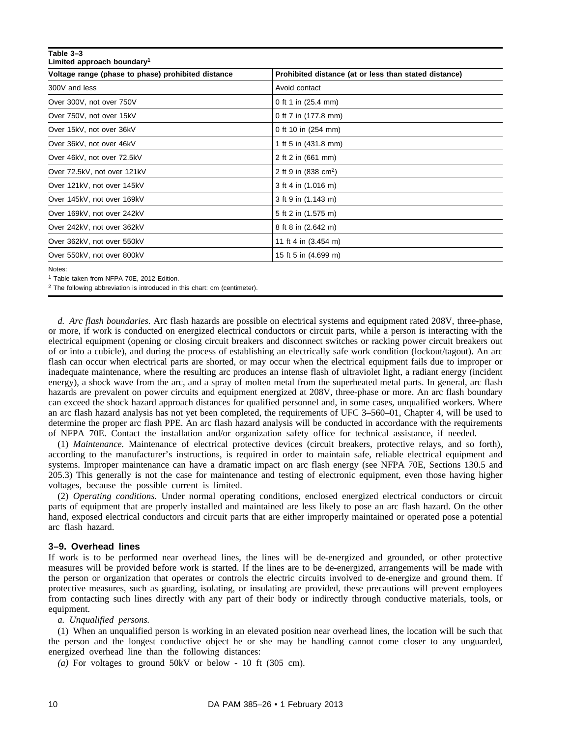| Table 3-3<br>Limited approach boundary <sup>1</sup> |                                                       |  |
|-----------------------------------------------------|-------------------------------------------------------|--|
| Voltage range (phase to phase) prohibited distance  | Prohibited distance (at or less than stated distance) |  |
| 300V and less                                       | Avoid contact                                         |  |
| Over 300V, not over 750V                            | 0 ft 1 in (25.4 mm)                                   |  |
| Over 750V, not over 15kV                            | 0 ft 7 in (177.8 mm)                                  |  |
| Over 15kV, not over 36kV                            | 0 ft 10 in (254 mm)                                   |  |
| Over 36kV, not over 46kV                            | 1 ft 5 in (431.8 mm)                                  |  |
| Over 46kV, not over 72.5kV                          | 2 ft 2 in (661 mm)                                    |  |
| Over 72.5kV, not over 121kV                         | 2 ft 9 in $(838 \text{ cm}^2)$                        |  |
| Over 121kV, not over 145kV                          | 3 ft 4 in (1.016 m)                                   |  |
| Over 145kV, not over 169kV                          | 3 ft 9 in (1.143 m)                                   |  |
| Over 169kV, not over 242kV                          | 5 ft 2 in (1.575 m)                                   |  |
| Over 242kV, not over 362kV                          | 8 ft 8 in (2.642 m)                                   |  |
| Over 362kV, not over 550kV                          | 11 ft 4 in (3.454 m)                                  |  |
| Over 550kV, not over 800kV                          | 15 ft 5 in (4.699 m)                                  |  |

Notes:

<sup>1</sup> Table taken from NFPA 70E, 2012 Edition.

<sup>2</sup> The following abbreviation is introduced in this chart: cm (centimeter).

*d. Arc flash boundaries.* Arc flash hazards are possible on electrical systems and equipment rated 208V, three-phase, or more, if work is conducted on energized electrical conductors or circuit parts, while a person is interacting with the electrical equipment (opening or closing circuit breakers and disconnect switches or racking power circuit breakers out of or into a cubicle), and during the process of establishing an electrically safe work condition (lockout/tagout). An arc flash can occur when electrical parts are shorted, or may occur when the electrical equipment fails due to improper or inadequate maintenance, where the resulting arc produces an intense flash of ultraviolet light, a radiant energy (incident energy), a shock wave from the arc, and a spray of molten metal from the superheated metal parts. In general, arc flash hazards are prevalent on power circuits and equipment energized at 208V, three-phase or more. An arc flash boundary can exceed the shock hazard approach distances for qualified personnel and, in some cases, unqualified workers. Where an arc flash hazard analysis has not yet been completed, the requirements of UFC 3–560–01, Chapter 4, will be used to determine the proper arc flash PPE. An arc flash hazard analysis will be conducted in accordance with the requirements of NFPA 70E. Contact the installation and/or organization safety office for technical assistance, if needed.

(1) *Maintenance.* Maintenance of electrical protective devices (circuit breakers, protective relays, and so forth), according to the manufacturer's instructions, is required in order to maintain safe, reliable electrical equipment and systems. Improper maintenance can have a dramatic impact on arc flash energy (see NFPA 70E, Sections 130.5 and 205.3) This generally is not the case for maintenance and testing of electronic equipment, even those having higher voltages, because the possible current is limited.

(2) *Operating conditions.* Under normal operating conditions, enclosed energized electrical conductors or circuit parts of equipment that are properly installed and maintained are less likely to pose an arc flash hazard. On the other hand, exposed electrical conductors and circuit parts that are either improperly maintained or operated pose a potential arc flash hazard.

# **3–9. Overhead lines**

If work is to be performed near overhead lines, the lines will be de-energized and grounded, or other protective measures will be provided before work is started. If the lines are to be de-energized, arrangements will be made with the person or organization that operates or controls the electric circuits involved to de-energize and ground them. If protective measures, such as guarding, isolating, or insulating are provided, these precautions will prevent employees from contacting such lines directly with any part of their body or indirectly through conductive materials, tools, or equipment.

### *a. Unqualified persons.*

(1) When an unqualified person is working in an elevated position near overhead lines, the location will be such that the person and the longest conductive object he or she may be handling cannot come closer to any unguarded, energized overhead line than the following distances:

*(a)* For voltages to ground 50kV or below - 10 ft (305 cm).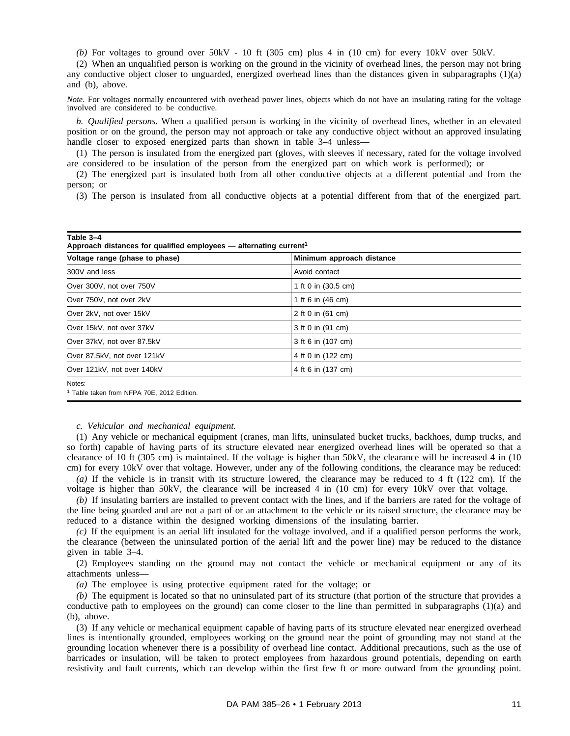*(b)* For voltages to ground over 50kV - 10 ft (305 cm) plus 4 in (10 cm) for every 10kV over 50kV.

(2) When an unqualified person is working on the ground in the vicinity of overhead lines, the person may not bring any conductive object closer to unguarded, energized overhead lines than the distances given in subparagraphs (1)(a) and (b), above.

*Note.* For voltages normally encountered with overhead power lines, objects which do not have an insulating rating for the voltage involved are considered to be conductive.

*b. Qualified persons.* When a qualified person is working in the vicinity of overhead lines, whether in an elevated position or on the ground, the person may not approach or take any conductive object without an approved insulating handle closer to exposed energized parts than shown in table 3–4 unless—

(1) The person is insulated from the energized part (gloves, with sleeves if necessary, rated for the voltage involved are considered to be insulation of the person from the energized part on which work is performed); or

(2) The energized part is insulated both from all other conductive objects at a different potential and from the person; or

(3) The person is insulated from all conductive objects at a potential different from that of the energized part.

| Voltage range (phase to phase) | Minimum approach distance |  |
|--------------------------------|---------------------------|--|
| 300V and less                  | Avoid contact             |  |
| Over 300V, not over 750V       | 1 ft 0 in (30.5 cm)       |  |
| Over 750V, not over 2kV        | 1 ft 6 in (46 cm)         |  |
| Over 2kV, not over 15kV        | 2 ft 0 in (61 cm)         |  |
| Over 15kV, not over 37kV       | 3 ft 0 in (91 cm)         |  |
| Over 37kV, not over 87.5kV     | 3 ft 6 in (107 cm)        |  |
| Over 87.5kV, not over 121kV    | 4 ft 0 in (122 cm)        |  |
| Over 121kV, not over 140kV     | 4 ft 6 in (137 cm)        |  |

<sup>1</sup> Table taken from NFPA 70E, 2012 Edition.

*c. Vehicular and mechanical equipment.*

(1) Any vehicle or mechanical equipment (cranes, man lifts, uninsulated bucket trucks, backhoes, dump trucks, and so forth) capable of having parts of its structure elevated near energized overhead lines will be operated so that a clearance of 10 ft (305 cm) is maintained. If the voltage is higher than 50kV, the clearance will be increased 4 in (10 cm) for every 10kV over that voltage. However, under any of the following conditions, the clearance may be reduced:

*(a)* If the vehicle is in transit with its structure lowered, the clearance may be reduced to 4 ft (122 cm). If the voltage is higher than 50kV, the clearance will be increased 4 in (10 cm) for every 10kV over that voltage.

*(b)* If insulating barriers are installed to prevent contact with the lines, and if the barriers are rated for the voltage of the line being guarded and are not a part of or an attachment to the vehicle or its raised structure, the clearance may be reduced to a distance within the designed working dimensions of the insulating barrier.

*(c)* If the equipment is an aerial lift insulated for the voltage involved, and if a qualified person performs the work, the clearance (between the uninsulated portion of the aerial lift and the power line) may be reduced to the distance given in table 3–4.

(2) Employees standing on the ground may not contact the vehicle or mechanical equipment or any of its attachments unless—

*(a)* The employee is using protective equipment rated for the voltage; or

*(b)* The equipment is located so that no uninsulated part of its structure (that portion of the structure that provides a conductive path to employees on the ground) can come closer to the line than permitted in subparagraphs (1)(a) and (b), above.

(3) If any vehicle or mechanical equipment capable of having parts of its structure elevated near energized overhead lines is intentionally grounded, employees working on the ground near the point of grounding may not stand at the grounding location whenever there is a possibility of overhead line contact. Additional precautions, such as the use of barricades or insulation, will be taken to protect employees from hazardous ground potentials, depending on earth resistivity and fault currents, which can develop within the first few ft or more outward from the grounding point.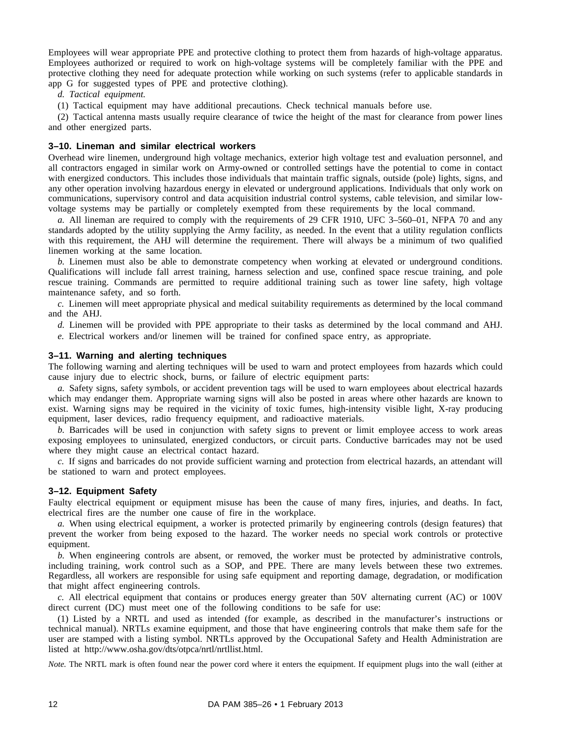Employees will wear appropriate PPE and protective clothing to protect them from hazards of high-voltage apparatus. Employees authorized or required to work on high-voltage systems will be completely familiar with the PPE and protective clothing they need for adequate protection while working on such systems (refer to applicable standards in app G for suggested types of PPE and protective clothing).

*d. Tactical equipment.*

(1) Tactical equipment may have additional precautions. Check technical manuals before use.

(2) Tactical antenna masts usually require clearance of twice the height of the mast for clearance from power lines and other energized parts.

# **3–10. Lineman and similar electrical workers**

Overhead wire linemen, underground high voltage mechanics, exterior high voltage test and evaluation personnel, and all contractors engaged in similar work on Army-owned or controlled settings have the potential to come in contact with energized conductors. This includes those individuals that maintain traffic signals, outside (pole) lights, signs, and any other operation involving hazardous energy in elevated or underground applications. Individuals that only work on communications, supervisory control and data acquisition industrial control systems, cable television, and similar lowvoltage systems may be partially or completely exempted from these requirements by the local command.

*a.* All lineman are required to comply with the requirements of 29 CFR 1910, UFC 3–560–01, NFPA 70 and any standards adopted by the utility supplying the Army facility, as needed. In the event that a utility regulation conflicts with this requirement, the AHJ will determine the requirement. There will always be a minimum of two qualified linemen working at the same location.

*b.* Linemen must also be able to demonstrate competency when working at elevated or underground conditions. Qualifications will include fall arrest training, harness selection and use, confined space rescue training, and pole rescue training. Commands are permitted to require additional training such as tower line safety, high voltage maintenance safety, and so forth.

*c.* Linemen will meet appropriate physical and medical suitability requirements as determined by the local command and the AHJ.

*d.* Linemen will be provided with PPE appropriate to their tasks as determined by the local command and AHJ.

*e.* Electrical workers and/or linemen will be trained for confined space entry, as appropriate.

# **3–11. Warning and alerting techniques**

The following warning and alerting techniques will be used to warn and protect employees from hazards which could cause injury due to electric shock, burns, or failure of electric equipment parts:

*a.* Safety signs, safety symbols, or accident prevention tags will be used to warn employees about electrical hazards which may endanger them. Appropriate warning signs will also be posted in areas where other hazards are known to exist. Warning signs may be required in the vicinity of toxic fumes, high-intensity visible light, X-ray producing equipment, laser devices, radio frequency equipment, and radioactive materials.

*b.* Barricades will be used in conjunction with safety signs to prevent or limit employee access to work areas exposing employees to uninsulated, energized conductors, or circuit parts. Conductive barricades may not be used where they might cause an electrical contact hazard.

*c.* If signs and barricades do not provide sufficient warning and protection from electrical hazards, an attendant will be stationed to warn and protect employees.

# **3–12. Equipment Safety**

Faulty electrical equipment or equipment misuse has been the cause of many fires, injuries, and deaths. In fact, electrical fires are the number one cause of fire in the workplace.

*a.* When using electrical equipment, a worker is protected primarily by engineering controls (design features) that prevent the worker from being exposed to the hazard. The worker needs no special work controls or protective equipment.

*b.* When engineering controls are absent, or removed, the worker must be protected by administrative controls, including training, work control such as a SOP, and PPE. There are many levels between these two extremes. Regardless, all workers are responsible for using safe equipment and reporting damage, degradation, or modification that might affect engineering controls.

*c.* All electrical equipment that contains or produces energy greater than 50V alternating current (AC) or 100V direct current (DC) must meet one of the following conditions to be safe for use:

(1) Listed by a NRTL and used as intended (for example, as described in the manufacturer's instructions or technical manual). NRTLs examine equipment, and those that have engineering controls that make them safe for the user are stamped with a listing symbol. NRTLs approved by the Occupational Safety and Health Administration are listed at http://www.osha.gov/dts/otpca/nrtl/nrtllist.html.

*Note*. The NRTL mark is often found near the power cord where it enters the equipment. If equipment plugs into the wall (either at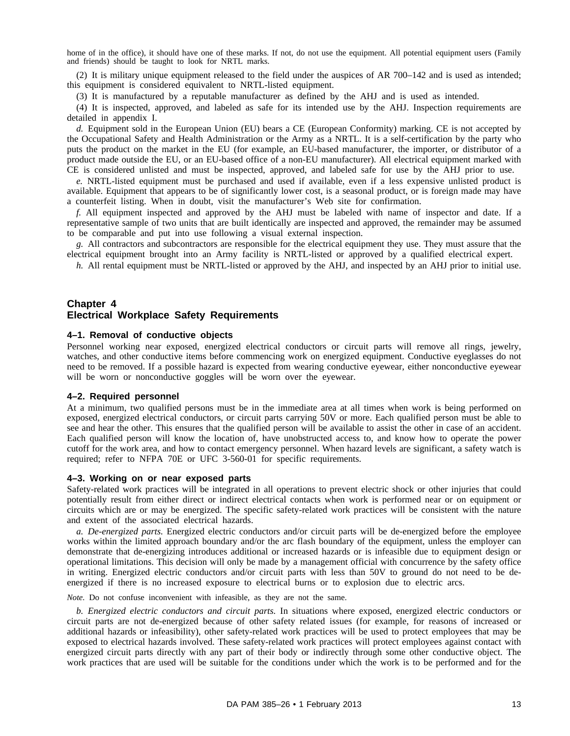home of in the office), it should have one of these marks. If not, do not use the equipment. All potential equipment users (Family and friends) should be taught to look for NRTL marks.

(2) It is military unique equipment released to the field under the auspices of AR 700–142 and is used as intended; this equipment is considered equivalent to NRTL-listed equipment.

(3) It is manufactured by a reputable manufacturer as defined by the AHJ and is used as intended.

(4) It is inspected, approved, and labeled as safe for its intended use by the AHJ. Inspection requirements are detailed in appendix I.

*d.* Equipment sold in the European Union (EU) bears a CE (European Conformity) marking. CE is not accepted by the Occupational Safety and Health Administration or the Army as a NRTL. It is a self-certification by the party who puts the product on the market in the EU (for example, an EU-based manufacturer, the importer, or distributor of a product made outside the EU, or an EU-based office of a non-EU manufacturer). All electrical equipment marked with CE is considered unlisted and must be inspected, approved, and labeled safe for use by the AHJ prior to use.

*e.* NRTL-listed equipment must be purchased and used if available, even if a less expensive unlisted product is available. Equipment that appears to be of significantly lower cost, is a seasonal product, or is foreign made may have a counterfeit listing. When in doubt, visit the manufacturer's Web site for confirmation.

*f.* All equipment inspected and approved by the AHJ must be labeled with name of inspector and date. If a representative sample of two units that are built identically are inspected and approved, the remainder may be assumed to be comparable and put into use following a visual external inspection.

*g.* All contractors and subcontractors are responsible for the electrical equipment they use. They must assure that the electrical equipment brought into an Army facility is NRTL-listed or approved by a qualified electrical expert.

*h.* All rental equipment must be NRTL-listed or approved by the AHJ, and inspected by an AHJ prior to initial use.

# **Chapter 4 Electrical Workplace Safety Requirements**

# **4–1. Removal of conductive objects**

Personnel working near exposed, energized electrical conductors or circuit parts will remove all rings, jewelry, watches, and other conductive items before commencing work on energized equipment. Conductive eyeglasses do not need to be removed. If a possible hazard is expected from wearing conductive eyewear, either nonconductive eyewear will be worn or nonconductive goggles will be worn over the eyewear.

# **4–2. Required personnel**

At a minimum, two qualified persons must be in the immediate area at all times when work is being performed on exposed, energized electrical conductors, or circuit parts carrying 50V or more. Each qualified person must be able to see and hear the other. This ensures that the qualified person will be available to assist the other in case of an accident. Each qualified person will know the location of, have unobstructed access to, and know how to operate the power cutoff for the work area, and how to contact emergency personnel. When hazard levels are significant, a safety watch is required; refer to NFPA 70E or UFC 3-560-01 for specific requirements.

# **4–3. Working on or near exposed parts**

Safety-related work practices will be integrated in all operations to prevent electric shock or other injuries that could potentially result from either direct or indirect electrical contacts when work is performed near or on equipment or circuits which are or may be energized. The specific safety-related work practices will be consistent with the nature and extent of the associated electrical hazards.

*a. De-energized parts.* Energized electric conductors and/or circuit parts will be de-energized before the employee works within the limited approach boundary and/or the arc flash boundary of the equipment, unless the employer can demonstrate that de-energizing introduces additional or increased hazards or is infeasible due to equipment design or operational limitations. This decision will only be made by a management official with concurrence by the safety office in writing. Energized electric conductors and/or circuit parts with less than 50V to ground do not need to be deenergized if there is no increased exposure to electrical burns or to explosion due to electric arcs.

*Note.* Do not confuse inconvenient with infeasible, as they are not the same.

*b. Energized electric conductors and circuit parts.* In situations where exposed, energized electric conductors or circuit parts are not de-energized because of other safety related issues (for example, for reasons of increased or additional hazards or infeasibility), other safety-related work practices will be used to protect employees that may be exposed to electrical hazards involved. These safety-related work practices will protect employees against contact with energized circuit parts directly with any part of their body or indirectly through some other conductive object. The work practices that are used will be suitable for the conditions under which the work is to be performed and for the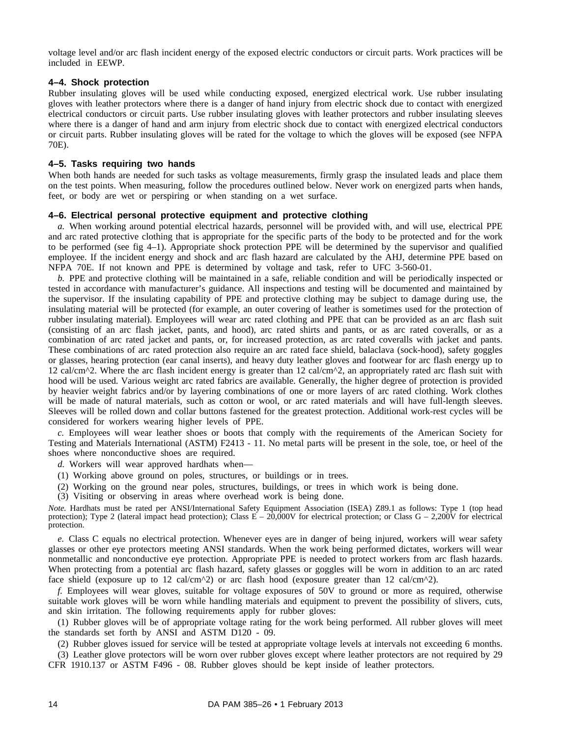voltage level and/or arc flash incident energy of the exposed electric conductors or circuit parts. Work practices will be included in EEWP.

# **4–4. Shock protection**

Rubber insulating gloves will be used while conducting exposed, energized electrical work. Use rubber insulating gloves with leather protectors where there is a danger of hand injury from electric shock due to contact with energized electrical conductors or circuit parts. Use rubber insulating gloves with leather protectors and rubber insulating sleeves where there is a danger of hand and arm injury from electric shock due to contact with energized electrical conductors or circuit parts. Rubber insulating gloves will be rated for the voltage to which the gloves will be exposed (see NFPA 70E).

# **4–5. Tasks requiring two hands**

When both hands are needed for such tasks as voltage measurements, firmly grasp the insulated leads and place them on the test points. When measuring, follow the procedures outlined below. Never work on energized parts when hands, feet, or body are wet or perspiring or when standing on a wet surface.

# **4–6. Electrical personal protective equipment and protective clothing**

*a.* When working around potential electrical hazards, personnel will be provided with, and will use, electrical PPE and arc rated protective clothing that is appropriate for the specific parts of the body to be protected and for the work to be performed (see fig 4–1). Appropriate shock protection PPE will be determined by the supervisor and qualified employee. If the incident energy and shock and arc flash hazard are calculated by the AHJ, determine PPE based on NFPA 70E. If not known and PPE is determined by voltage and task, refer to UFC 3-560-01.

*b.* PPE and protective clothing will be maintained in a safe, reliable condition and will be periodically inspected or tested in accordance with manufacturer's guidance. All inspections and testing will be documented and maintained by the supervisor. If the insulating capability of PPE and protective clothing may be subject to damage during use, the insulating material will be protected (for example, an outer covering of leather is sometimes used for the protection of rubber insulating material). Employees will wear arc rated clothing and PPE that can be provided as an arc flash suit (consisting of an arc flash jacket, pants, and hood), arc rated shirts and pants, or as arc rated coveralls, or as a combination of arc rated jacket and pants, or, for increased protection, as arc rated coveralls with jacket and pants. These combinations of arc rated protection also require an arc rated face shield, balaclava (sock-hood), safety goggles or glasses, hearing protection (ear canal inserts), and heavy duty leather gloves and footwear for arc flash energy up to 12 cal/cm^2. Where the arc flash incident energy is greater than 12 cal/cm^2, an appropriately rated arc flash suit with hood will be used. Various weight arc rated fabrics are available. Generally, the higher degree of protection is provided by heavier weight fabrics and/or by layering combinations of one or more layers of arc rated clothing. Work clothes will be made of natural materials, such as cotton or wool, or arc rated materials and will have full-length sleeves. Sleeves will be rolled down and collar buttons fastened for the greatest protection. Additional work-rest cycles will be considered for workers wearing higher levels of PPE.

*c.* Employees will wear leather shoes or boots that comply with the requirements of the American Society for Testing and Materials International (ASTM) F2413 - 11. No metal parts will be present in the sole, toe, or heel of the shoes where nonconductive shoes are required.

*d.* Workers will wear approved hardhats when—

- (1) Working above ground on poles, structures, or buildings or in trees.
- (2) Working on the ground near poles, structures, buildings, or trees in which work is being done.
- (3) Visiting or observing in areas where overhead work is being done.

*Note.* Hardhats must be rated per ANSI/International Safety Equipment Association (ISEA) Z89.1 as follows: Type 1 (top head protection); Type 2 (lateral impact head protection); Class  $\vec{E}$  – 20,000V for electrical protection; or Class  $G - 2,200V$  for electrical protection.

*e.* Class C equals no electrical protection. Whenever eyes are in danger of being injured, workers will wear safety glasses or other eye protectors meeting ANSI standards. When the work being performed dictates, workers will wear nonmetallic and nonconductive eye protection. Appropriate PPE is needed to protect workers from arc flash hazards. When protecting from a potential arc flash hazard, safety glasses or goggles will be worn in addition to an arc rated face shield (exposure up to 12 cal/cm^2) or arc flash hood (exposure greater than 12 cal/cm^2).

*f.* Employees will wear gloves, suitable for voltage exposures of 50V to ground or more as required, otherwise suitable work gloves will be worn while handling materials and equipment to prevent the possibility of slivers, cuts, and skin irritation. The following requirements apply for rubber gloves:

(1) Rubber gloves will be of appropriate voltage rating for the work being performed. All rubber gloves will meet the standards set forth by ANSI and ASTM D120 - 09.

(2) Rubber gloves issued for service will be tested at appropriate voltage levels at intervals not exceeding 6 months.

(3) Leather glove protectors will be worn over rubber gloves except where leather protectors are not required by 29 CFR 1910.137 or ASTM F496 - 08. Rubber gloves should be kept inside of leather protectors.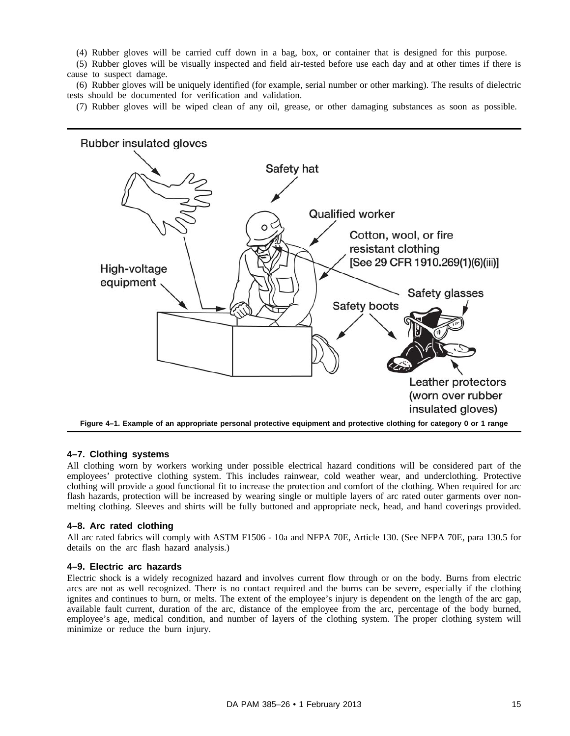(4) Rubber gloves will be carried cuff down in a bag, box, or container that is designed for this purpose.

(5) Rubber gloves will be visually inspected and field air-tested before use each day and at other times if there is cause to suspect damage.

(6) Rubber gloves will be uniquely identified (for example, serial number or other marking). The results of dielectric tests should be documented for verification and validation.

(7) Rubber gloves will be wiped clean of any oil, grease, or other damaging substances as soon as possible.



# **4–7. Clothing systems**

All clothing worn by workers working under possible electrical hazard conditions will be considered part of the employees' protective clothing system. This includes rainwear, cold weather wear, and underclothing. Protective clothing will provide a good functional fit to increase the protection and comfort of the clothing. When required for arc flash hazards, protection will be increased by wearing single or multiple layers of arc rated outer garments over nonmelting clothing. Sleeves and shirts will be fully buttoned and appropriate neck, head, and hand coverings provided.

# **4–8. Arc rated clothing**

All arc rated fabrics will comply with ASTM F1506 - 10a and NFPA 70E, Article 130. (See NFPA 70E, para 130.5 for details on the arc flash hazard analysis.)

# **4–9. Electric arc hazards**

Electric shock is a widely recognized hazard and involves current flow through or on the body. Burns from electric arcs are not as well recognized. There is no contact required and the burns can be severe, especially if the clothing ignites and continues to burn, or melts. The extent of the employee's injury is dependent on the length of the arc gap, available fault current, duration of the arc, distance of the employee from the arc, percentage of the body burned, employee's age, medical condition, and number of layers of the clothing system. The proper clothing system will minimize or reduce the burn injury.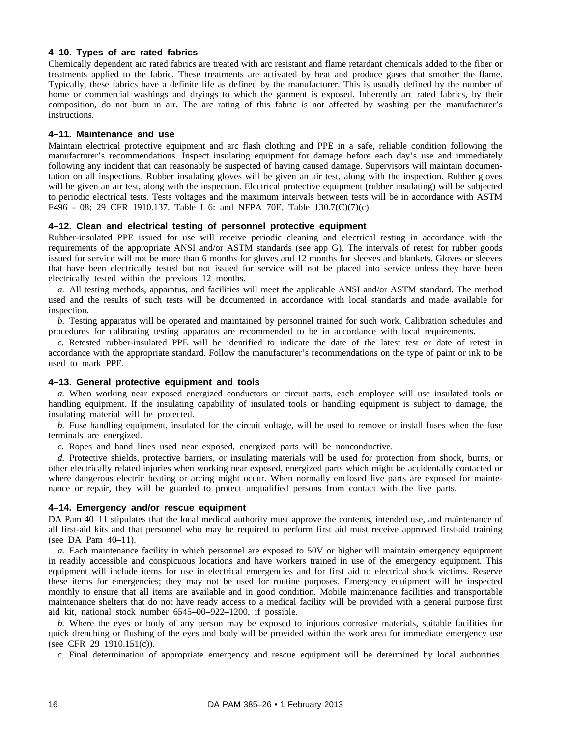# **4–10. Types of arc rated fabrics**

Chemically dependent arc rated fabrics are treated with arc resistant and flame retardant chemicals added to the fiber or treatments applied to the fabric. These treatments are activated by heat and produce gases that smother the flame. Typically, these fabrics have a definite life as defined by the manufacturer. This is usually defined by the number of home or commercial washings and dryings to which the garment is exposed. Inherently arc rated fabrics, by their composition, do not burn in air. The arc rating of this fabric is not affected by washing per the manufacturer's instructions.

# **4–11. Maintenance and use**

Maintain electrical protective equipment and arc flash clothing and PPE in a safe, reliable condition following the manufacturer's recommendations. Inspect insulating equipment for damage before each day's use and immediately following any incident that can reasonably be suspected of having caused damage. Supervisors will maintain documentation on all inspections. Rubber insulating gloves will be given an air test, along with the inspection. Rubber gloves will be given an air test, along with the inspection. Electrical protective equipment (rubber insulating) will be subjected to periodic electrical tests. Tests voltages and the maximum intervals between tests will be in accordance with ASTM F496 - 08; 29 CFR 1910.137, Table I–6; and NFPA 70E, Table 130.7(C)(7)(c).

# **4–12. Clean and electrical testing of personnel protective equipment**

Rubber-insulated PPE issued for use will receive periodic cleaning and electrical testing in accordance with the requirements of the appropriate ANSI and/or ASTM standards (see app G). The intervals of retest for rubber goods issued for service will not be more than 6 months for gloves and 12 months for sleeves and blankets. Gloves or sleeves that have been electrically tested but not issued for service will not be placed into service unless they have been electrically tested within the previous 12 months.

*a.* All testing methods, apparatus, and facilities will meet the applicable ANSI and/or ASTM standard. The method used and the results of such tests will be documented in accordance with local standards and made available for inspection.

*b.* Testing apparatus will be operated and maintained by personnel trained for such work. Calibration schedules and procedures for calibrating testing apparatus are recommended to be in accordance with local requirements.

*c.* Retested rubber-insulated PPE will be identified to indicate the date of the latest test or date of retest in accordance with the appropriate standard. Follow the manufacturer's recommendations on the type of paint or ink to be used to mark PPE.

# **4–13. General protective equipment and tools**

*a.* When working near exposed energized conductors or circuit parts, each employee will use insulated tools or handling equipment. If the insulating capability of insulated tools or handling equipment is subject to damage, the insulating material will be protected.

*b.* Fuse handling equipment, insulated for the circuit voltage, will be used to remove or install fuses when the fuse terminals are energized.

*c.* Ropes and hand lines used near exposed, energized parts will be nonconductive.

*d.* Protective shields, protective barriers, or insulating materials will be used for protection from shock, burns, or other electrically related injuries when working near exposed, energized parts which might be accidentally contacted or where dangerous electric heating or arcing might occur. When normally enclosed live parts are exposed for maintenance or repair, they will be guarded to protect unqualified persons from contact with the live parts.

# **4–14. Emergency and/or rescue equipment**

DA Pam 40–11 stipulates that the local medical authority must approve the contents, intended use, and maintenance of all first-aid kits and that personnel who may be required to perform first aid must receive approved first-aid training (see DA Pam 40–11).

*a.* Each maintenance facility in which personnel are exposed to 50V or higher will maintain emergency equipment in readily accessible and conspicuous locations and have workers trained in use of the emergency equipment. This equipment will include items for use in electrical emergencies and for first aid to electrical shock victims. Reserve these items for emergencies; they may not be used for routine purposes. Emergency equipment will be inspected monthly to ensure that all items are available and in good condition. Mobile maintenance facilities and transportable maintenance shelters that do not have ready access to a medical facility will be provided with a general purpose first aid kit, national stock number 6545–00–922–1200, if possible.

*b.* Where the eyes or body of any person may be exposed to injurious corrosive materials, suitable facilities for quick drenching or flushing of the eyes and body will be provided within the work area for immediate emergency use (see CFR 29 1910.151(c)).

*c.* Final determination of appropriate emergency and rescue equipment will be determined by local authorities.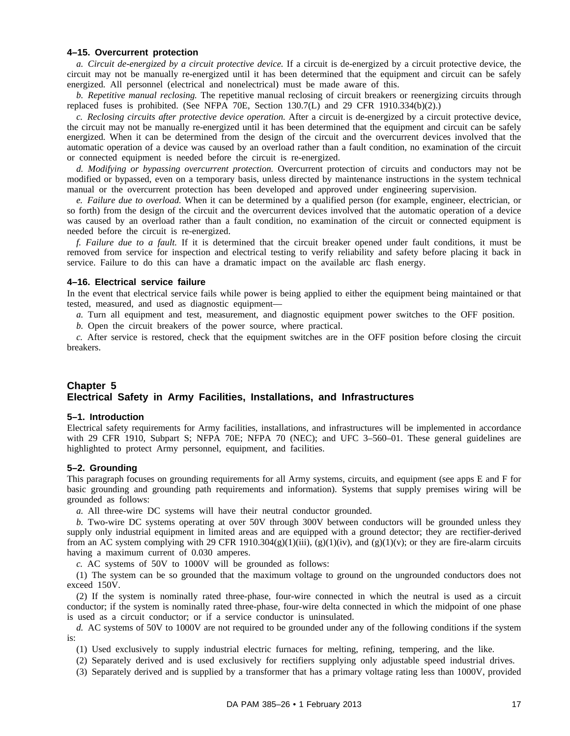### **4–15. Overcurrent protection**

*a. Circuit de-energized by a circuit protective device.* If a circuit is de-energized by a circuit protective device, the circuit may not be manually re-energized until it has been determined that the equipment and circuit can be safely energized. All personnel (electrical and nonelectrical) must be made aware of this.

*b. Repetitive manual reclosing.* The repetitive manual reclosing of circuit breakers or reenergizing circuits through replaced fuses is prohibited. (See NFPA 70E, Section  $130.7(L)$  and  $29$  CFR  $1910.334(b)(2)$ .)

*c. Reclosing circuits after protective device operation.* After a circuit is de-energized by a circuit protective device, the circuit may not be manually re-energized until it has been determined that the equipment and circuit can be safely energized. When it can be determined from the design of the circuit and the overcurrent devices involved that the automatic operation of a device was caused by an overload rather than a fault condition, no examination of the circuit or connected equipment is needed before the circuit is re-energized.

*d. Modifying or bypassing overcurrent protection.* Overcurrent protection of circuits and conductors may not be modified or bypassed, even on a temporary basis, unless directed by maintenance instructions in the system technical manual or the overcurrent protection has been developed and approved under engineering supervision.

*e. Failure due to overload.* When it can be determined by a qualified person (for example, engineer, electrician, or so forth) from the design of the circuit and the overcurrent devices involved that the automatic operation of a device was caused by an overload rather than a fault condition, no examination of the circuit or connected equipment is needed before the circuit is re-energized.

*f. Failure due to a fault.* If it is determined that the circuit breaker opened under fault conditions, it must be removed from service for inspection and electrical testing to verify reliability and safety before placing it back in service. Failure to do this can have a dramatic impact on the available arc flash energy.

### **4–16. Electrical service failure**

In the event that electrical service fails while power is being applied to either the equipment being maintained or that tested, measured, and used as diagnostic equipment—

*a.* Turn all equipment and test, measurement, and diagnostic equipment power switches to the OFF position.

*b.* Open the circuit breakers of the power source, where practical.

*c.* After service is restored, check that the equipment switches are in the OFF position before closing the circuit breakers.

# **Chapter 5 Electrical Safety in Army Facilities, Installations, and Infrastructures**

### **5–1. Introduction**

Electrical safety requirements for Army facilities, installations, and infrastructures will be implemented in accordance with 29 CFR 1910, Subpart S; NFPA 70E; NFPA 70 (NEC); and UFC 3-560-01. These general guidelines are highlighted to protect Army personnel, equipment, and facilities.

# **5–2. Grounding**

This paragraph focuses on grounding requirements for all Army systems, circuits, and equipment (see apps E and F for basic grounding and grounding path requirements and information). Systems that supply premises wiring will be grounded as follows:

*a.* All three-wire DC systems will have their neutral conductor grounded.

*b.* Two-wire DC systems operating at over 50V through 300V between conductors will be grounded unless they supply only industrial equipment in limited areas and are equipped with a ground detector; they are rectifier-derived from an AC system complying with 29 CFR 1910.304(g)(1)(iii), (g)(1)(iv), and (g)(1)(v); or they are fire-alarm circuits having a maximum current of 0.030 amperes.

*c.* AC systems of 50V to 1000V will be grounded as follows:

(1) The system can be so grounded that the maximum voltage to ground on the ungrounded conductors does not exceed 150V.

(2) If the system is nominally rated three-phase, four-wire connected in which the neutral is used as a circuit conductor; if the system is nominally rated three-phase, four-wire delta connected in which the midpoint of one phase is used as a circuit conductor; or if a service conductor is uninsulated.

*d.* AC systems of 50V to 1000V are not required to be grounded under any of the following conditions if the system is:

(1) Used exclusively to supply industrial electric furnaces for melting, refining, tempering, and the like.

(2) Separately derived and is used exclusively for rectifiers supplying only adjustable speed industrial drives.

(3) Separately derived and is supplied by a transformer that has a primary voltage rating less than 1000V, provided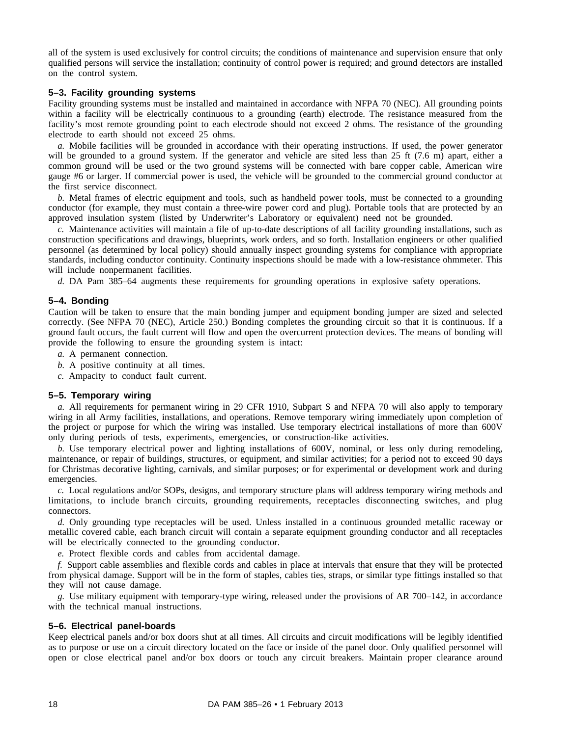all of the system is used exclusively for control circuits; the conditions of maintenance and supervision ensure that only qualified persons will service the installation; continuity of control power is required; and ground detectors are installed on the control system.

# **5–3. Facility grounding systems**

Facility grounding systems must be installed and maintained in accordance with NFPA 70 (NEC). All grounding points within a facility will be electrically continuous to a grounding (earth) electrode. The resistance measured from the facility's most remote grounding point to each electrode should not exceed 2 ohms. The resistance of the grounding electrode to earth should not exceed 25 ohms.

*a.* Mobile facilities will be grounded in accordance with their operating instructions. If used, the power generator will be grounded to a ground system. If the generator and vehicle are sited less than 25 ft (7.6 m) apart, either a common ground will be used or the two ground systems will be connected with bare copper cable, American wire gauge #6 or larger. If commercial power is used, the vehicle will be grounded to the commercial ground conductor at the first service disconnect.

*b.* Metal frames of electric equipment and tools, such as handheld power tools, must be connected to a grounding conductor (for example, they must contain a three-wire power cord and plug). Portable tools that are protected by an approved insulation system (listed by Underwriter's Laboratory or equivalent) need not be grounded.

*c.* Maintenance activities will maintain a file of up-to-date descriptions of all facility grounding installations, such as construction specifications and drawings, blueprints, work orders, and so forth. Installation engineers or other qualified personnel (as determined by local policy) should annually inspect grounding systems for compliance with appropriate standards, including conductor continuity. Continuity inspections should be made with a low-resistance ohmmeter. This will include nonpermanent facilities.

*d.* DA Pam 385–64 augments these requirements for grounding operations in explosive safety operations.

# **5–4. Bonding**

Caution will be taken to ensure that the main bonding jumper and equipment bonding jumper are sized and selected correctly. (See NFPA 70 (NEC), Article 250.) Bonding completes the grounding circuit so that it is continuous. If a ground fault occurs, the fault current will flow and open the overcurrent protection devices. The means of bonding will provide the following to ensure the grounding system is intact:

- *a.* A permanent connection.
- *b.* A positive continuity at all times.
- *c.* Ampacity to conduct fault current.

# **5–5. Temporary wiring**

*a.* All requirements for permanent wiring in 29 CFR 1910, Subpart S and NFPA 70 will also apply to temporary wiring in all Army facilities, installations, and operations. Remove temporary wiring immediately upon completion of the project or purpose for which the wiring was installed. Use temporary electrical installations of more than 600V only during periods of tests, experiments, emergencies, or construction-like activities.

*b.* Use temporary electrical power and lighting installations of 600V, nominal, or less only during remodeling, maintenance, or repair of buildings, structures, or equipment, and similar activities; for a period not to exceed 90 days for Christmas decorative lighting, carnivals, and similar purposes; or for experimental or development work and during emergencies.

*c.* Local regulations and/or SOPs, designs, and temporary structure plans will address temporary wiring methods and limitations, to include branch circuits, grounding requirements, receptacles disconnecting switches, and plug connectors.

*d.* Only grounding type receptacles will be used. Unless installed in a continuous grounded metallic raceway or metallic covered cable, each branch circuit will contain a separate equipment grounding conductor and all receptacles will be electrically connected to the grounding conductor.

*e.* Protect flexible cords and cables from accidental damage.

*f.* Support cable assemblies and flexible cords and cables in place at intervals that ensure that they will be protected from physical damage. Support will be in the form of staples, cables ties, straps, or similar type fittings installed so that they will not cause damage.

*g.* Use military equipment with temporary-type wiring, released under the provisions of AR 700–142, in accordance with the technical manual instructions.

# **5–6. Electrical panel-boards**

Keep electrical panels and/or box doors shut at all times. All circuits and circuit modifications will be legibly identified as to purpose or use on a circuit directory located on the face or inside of the panel door. Only qualified personnel will open or close electrical panel and/or box doors or touch any circuit breakers. Maintain proper clearance around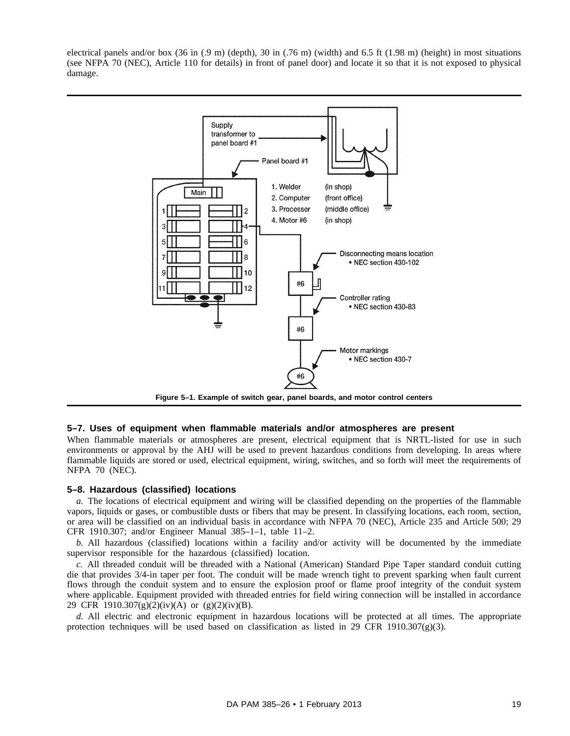electrical panels and/or box  $(36 \text{ in } (0.9 \text{ m})$  (depth),  $30 \text{ in } (0.76 \text{ m})$  (width) and  $6.5 \text{ ft } (1.98 \text{ m})$  (height) in most situations (see NFPA 70 (NEC), Article 110 for details) in front of panel door) and locate it so that it is not exposed to physical damage.



# **5–7. Uses of equipment when flammable materials and/or atmospheres are present**

When flammable materials or atmospheres are present, electrical equipment that is NRTL-listed for use in such environments or approval by the AHJ will be used to prevent hazardous conditions from developing. In areas where flammable liquids are stored or used, electrical equipment, wiring, switches, and so forth will meet the requirements of NFPA 70 (NEC).

# **5–8. Hazardous (classified) locations**

*a.* The locations of electrical equipment and wiring will be classified depending on the properties of the flammable vapors, liquids or gases, or combustible dusts or fibers that may be present. In classifying locations, each room, section, or area will be classified on an individual basis in accordance with NFPA 70 (NEC), Article 235 and Article 500; 29 CFR 1910.307; and/or Engineer Manual 385–1–1, table 11–2.

*b.* All hazardous (classified) locations within a facility and/or activity will be documented by the immediate supervisor responsible for the hazardous (classified) location.

*c.* All threaded conduit will be threaded with a National (American) Standard Pipe Taper standard conduit cutting die that provides 3/4-in taper per foot. The conduit will be made wrench tight to prevent sparking when fault current flows through the conduit system and to ensure the explosion proof or flame proof integrity of the conduit system where applicable. Equipment provided with threaded entries for field wiring connection will be installed in accordance 29 CFR 1910.307(g)(2)(iv)(A) or (g)(2)(iv)(B).

*d.* All electric and electronic equipment in hazardous locations will be protected at all times. The appropriate protection techniques will be used based on classification as listed in 29 CFR 1910.307(g)(3).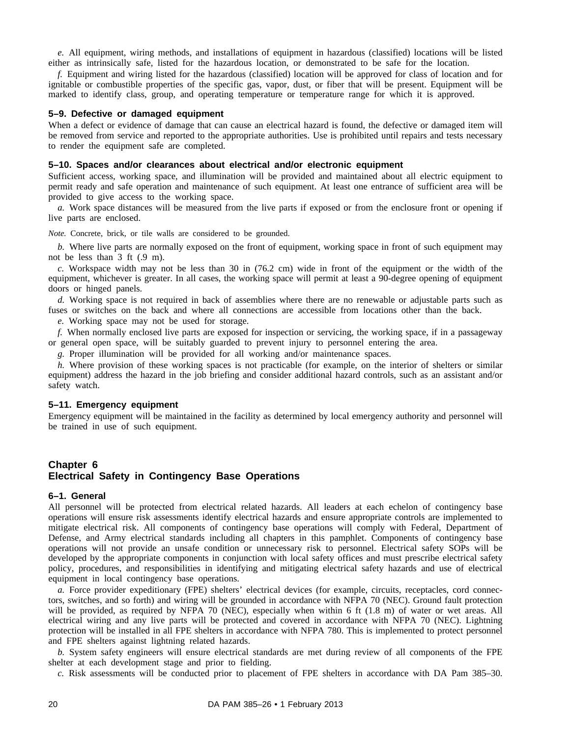*e.* All equipment, wiring methods, and installations of equipment in hazardous (classified) locations will be listed either as intrinsically safe, listed for the hazardous location, or demonstrated to be safe for the location.

*f.* Equipment and wiring listed for the hazardous (classified) location will be approved for class of location and for ignitable or combustible properties of the specific gas, vapor, dust, or fiber that will be present. Equipment will be marked to identify class, group, and operating temperature or temperature range for which it is approved.

# **5–9. Defective or damaged equipment**

When a defect or evidence of damage that can cause an electrical hazard is found, the defective or damaged item will be removed from service and reported to the appropriate authorities. Use is prohibited until repairs and tests necessary to render the equipment safe are completed.

# **5–10. Spaces and/or clearances about electrical and/or electronic equipment**

Sufficient access, working space, and illumination will be provided and maintained about all electric equipment to permit ready and safe operation and maintenance of such equipment. At least one entrance of sufficient area will be provided to give access to the working space.

*a.* Work space distances will be measured from the live parts if exposed or from the enclosure front or opening if live parts are enclosed.

*Note.* Concrete, brick, or tile walls are considered to be grounded.

*b.* Where live parts are normally exposed on the front of equipment, working space in front of such equipment may not be less than 3 ft (.9 m).

*c.* Workspace width may not be less than 30 in (76.2 cm) wide in front of the equipment or the width of the equipment, whichever is greater. In all cases, the working space will permit at least a 90-degree opening of equipment doors or hinged panels.

*d.* Working space is not required in back of assemblies where there are no renewable or adjustable parts such as fuses or switches on the back and where all connections are accessible from locations other than the back.

*e.* Working space may not be used for storage.

*f.* When normally enclosed live parts are exposed for inspection or servicing, the working space, if in a passageway or general open space, will be suitably guarded to prevent injury to personnel entering the area.

*g.* Proper illumination will be provided for all working and/or maintenance spaces.

*h.* Where provision of these working spaces is not practicable (for example, on the interior of shelters or similar equipment) address the hazard in the job briefing and consider additional hazard controls, such as an assistant and/or safety watch.

# **5–11. Emergency equipment**

Emergency equipment will be maintained in the facility as determined by local emergency authority and personnel will be trained in use of such equipment.

# **Chapter 6 Electrical Safety in Contingency Base Operations**

# **6–1. General**

All personnel will be protected from electrical related hazards. All leaders at each echelon of contingency base operations will ensure risk assessments identify electrical hazards and ensure appropriate controls are implemented to mitigate electrical risk. All components of contingency base operations will comply with Federal, Department of Defense, and Army electrical standards including all chapters in this pamphlet. Components of contingency base operations will not provide an unsafe condition or unnecessary risk to personnel. Electrical safety SOPs will be developed by the appropriate components in conjunction with local safety offices and must prescribe electrical safety policy, procedures, and responsibilities in identifying and mitigating electrical safety hazards and use of electrical equipment in local contingency base operations.

*a.* Force provider expeditionary (FPE) shelters' electrical devices (for example, circuits, receptacles, cord connectors, switches, and so forth) and wiring will be grounded in accordance with NFPA 70 (NEC). Ground fault protection will be provided, as required by NFPA 70 (NEC), especially when within 6 ft (1.8 m) of water or wet areas. All electrical wiring and any live parts will be protected and covered in accordance with NFPA 70 (NEC). Lightning protection will be installed in all FPE shelters in accordance with NFPA 780. This is implemented to protect personnel and FPE shelters against lightning related hazards.

*b.* System safety engineers will ensure electrical standards are met during review of all components of the FPE shelter at each development stage and prior to fielding.

*c.* Risk assessments will be conducted prior to placement of FPE shelters in accordance with DA Pam 385–30.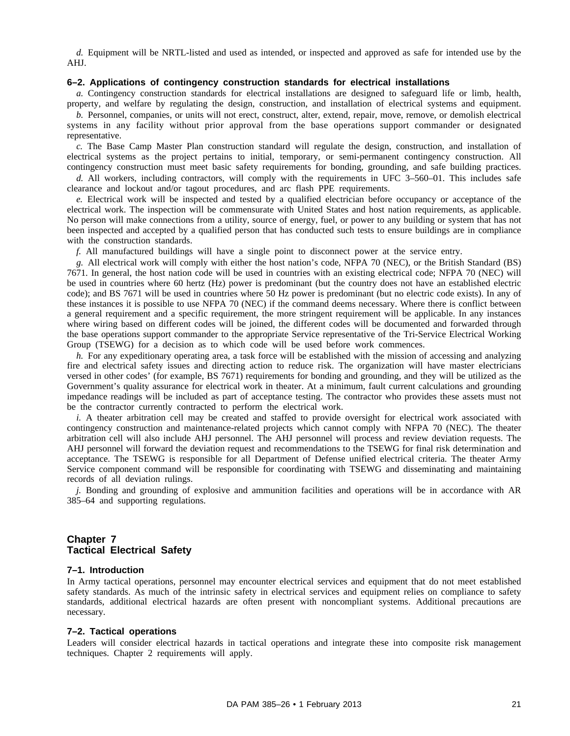*d.* Equipment will be NRTL-listed and used as intended, or inspected and approved as safe for intended use by the AHJ.

# **6–2. Applications of contingency construction standards for electrical installations**

*a.* Contingency construction standards for electrical installations are designed to safeguard life or limb, health, property, and welfare by regulating the design, construction, and installation of electrical systems and equipment.

*b.* Personnel, companies, or units will not erect, construct, alter, extend, repair, move, remove, or demolish electrical systems in any facility without prior approval from the base operations support commander or designated representative.

*c.* The Base Camp Master Plan construction standard will regulate the design, construction, and installation of electrical systems as the project pertains to initial, temporary, or semi-permanent contingency construction. All contingency construction must meet basic safety requirements for bonding, grounding, and safe building practices.

*d.* All workers, including contractors, will comply with the requirements in UFC 3–560–01. This includes safe clearance and lockout and/or tagout procedures, and arc flash PPE requirements.

*e.* Electrical work will be inspected and tested by a qualified electrician before occupancy or acceptance of the electrical work. The inspection will be commensurate with United States and host nation requirements, as applicable. No person will make connections from a utility, source of energy, fuel, or power to any building or system that has not been inspected and accepted by a qualified person that has conducted such tests to ensure buildings are in compliance with the construction standards.

*f.* All manufactured buildings will have a single point to disconnect power at the service entry.

*g.* All electrical work will comply with either the host nation's code, NFPA 70 (NEC), or the British Standard (BS) 7671. In general, the host nation code will be used in countries with an existing electrical code; NFPA 70 (NEC) will be used in countries where 60 hertz (Hz) power is predominant (but the country does not have an established electric code); and BS 7671 will be used in countries where 50 Hz power is predominant (but no electric code exists). In any of these instances it is possible to use NFPA 70 (NEC) if the command deems necessary. Where there is conflict between a general requirement and a specific requirement, the more stringent requirement will be applicable. In any instances where wiring based on different codes will be joined, the different codes will be documented and forwarded through the base operations support commander to the appropriate Service representative of the Tri-Service Electrical Working Group (TSEWG) for a decision as to which code will be used before work commences.

*h.* For any expeditionary operating area, a task force will be established with the mission of accessing and analyzing fire and electrical safety issues and directing action to reduce risk. The organization will have master electricians versed in other codes' (for example, BS 7671) requirements for bonding and grounding, and they will be utilized as the Government's quality assurance for electrical work in theater. At a minimum, fault current calculations and grounding impedance readings will be included as part of acceptance testing. The contractor who provides these assets must not be the contractor currently contracted to perform the electrical work.

*i.* A theater arbitration cell may be created and staffed to provide oversight for electrical work associated with contingency construction and maintenance-related projects which cannot comply with NFPA 70 (NEC). The theater arbitration cell will also include AHJ personnel. The AHJ personnel will process and review deviation requests. The AHJ personnel will forward the deviation request and recommendations to the TSEWG for final risk determination and acceptance. The TSEWG is responsible for all Department of Defense unified electrical criteria. The theater Army Service component command will be responsible for coordinating with TSEWG and disseminating and maintaining records of all deviation rulings.

*j.* Bonding and grounding of explosive and ammunition facilities and operations will be in accordance with AR 385–64 and supporting regulations.

# **Chapter 7 Tactical Electrical Safety**

### **7–1. Introduction**

In Army tactical operations, personnel may encounter electrical services and equipment that do not meet established safety standards. As much of the intrinsic safety in electrical services and equipment relies on compliance to safety standards, additional electrical hazards are often present with noncompliant systems. Additional precautions are necessary.

### **7–2. Tactical operations**

Leaders will consider electrical hazards in tactical operations and integrate these into composite risk management techniques. Chapter 2 requirements will apply.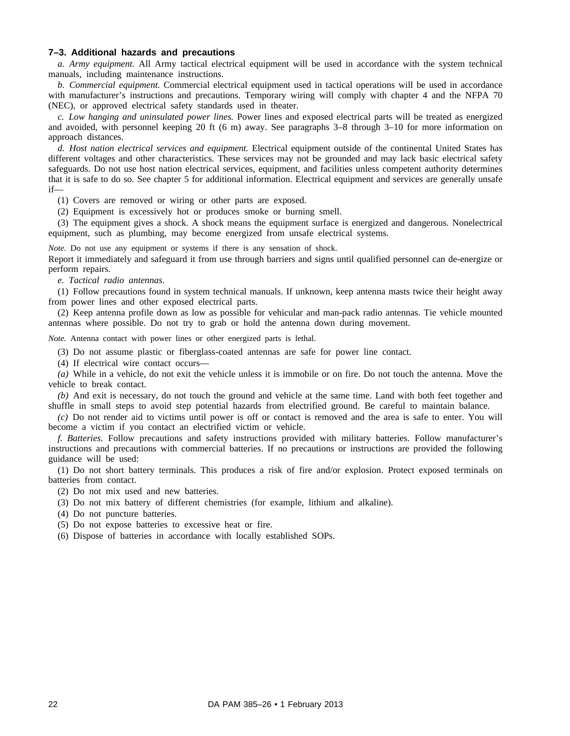# **7–3. Additional hazards and precautions**

*a. Army equipment.* All Army tactical electrical equipment will be used in accordance with the system technical manuals, including maintenance instructions.

*b. Commercial equipment.* Commercial electrical equipment used in tactical operations will be used in accordance with manufacturer's instructions and precautions. Temporary wiring will comply with chapter 4 and the NFPA 70 (NEC), or approved electrical safety standards used in theater.

*c. Low hanging and uninsulated power lines.* Power lines and exposed electrical parts will be treated as energized and avoided, with personnel keeping 20 ft (6 m) away. See paragraphs 3–8 through 3–10 for more information on approach distances.

*d. Host nation electrical services and equipment.* Electrical equipment outside of the continental United States has different voltages and other characteristics. These services may not be grounded and may lack basic electrical safety safeguards. Do not use host nation electrical services, equipment, and facilities unless competent authority determines that it is safe to do so. See chapter 5 for additional information. Electrical equipment and services are generally unsafe if—

(1) Covers are removed or wiring or other parts are exposed.

(2) Equipment is excessively hot or produces smoke or burning smell.

(3) The equipment gives a shock. A shock means the equipment surface is energized and dangerous. Nonelectrical equipment, such as plumbing, may become energized from unsafe electrical systems.

*Note.* Do not use any equipment or systems if there is any sensation of shock.

Report it immediately and safeguard it from use through barriers and signs until qualified personnel can de-energize or perform repairs.

*e. Tactical radio antennas.*

(1) Follow precautions found in system technical manuals. If unknown, keep antenna masts twice their height away from power lines and other exposed electrical parts.

(2) Keep antenna profile down as low as possible for vehicular and man-pack radio antennas. Tie vehicle mounted antennas where possible. Do not try to grab or hold the antenna down during movement.

*Note.* Antenna contact with power lines or other energized parts is lethal.

(3) Do not assume plastic or fiberglass-coated antennas are safe for power line contact.

(4) If electrical wire contact occurs—

*(a)* While in a vehicle, do not exit the vehicle unless it is immobile or on fire. Do not touch the antenna. Move the vehicle to break contact.

*(b)* And exit is necessary, do not touch the ground and vehicle at the same time. Land with both feet together and shuffle in small steps to avoid step potential hazards from electrified ground. Be careful to maintain balance.

*(c)* Do not render aid to victims until power is off or contact is removed and the area is safe to enter. You will become a victim if you contact an electrified victim or vehicle.

*f. Batteries.* Follow precautions and safety instructions provided with military batteries. Follow manufacturer's instructions and precautions with commercial batteries. If no precautions or instructions are provided the following guidance will be used:

(1) Do not short battery terminals. This produces a risk of fire and/or explosion. Protect exposed terminals on batteries from contact.

(2) Do not mix used and new batteries.

- (3) Do not mix battery of different chemistries (for example, lithium and alkaline).
- (4) Do not puncture batteries.

(5) Do not expose batteries to excessive heat or fire.

(6) Dispose of batteries in accordance with locally established SOPs.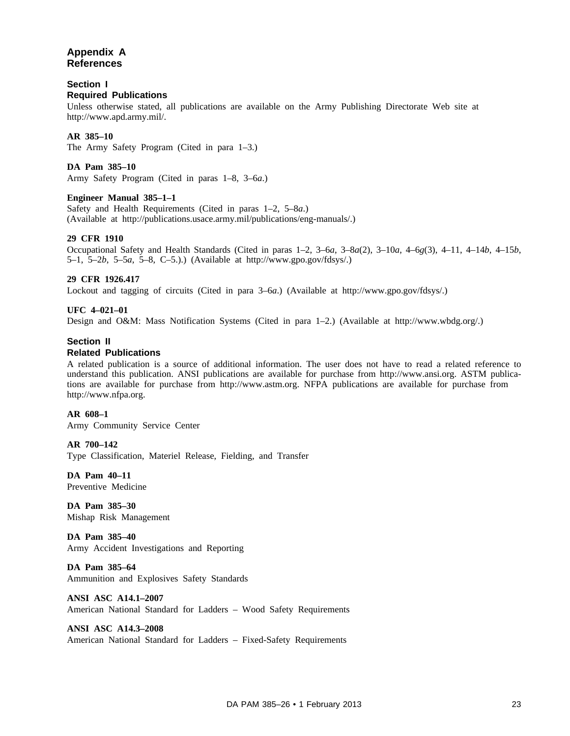# **Appendix A References**

# **Section I Required Publications**

Unless otherwise stated, all publications are available on the Army Publishing Directorate Web site at http://www.apd.army.mil/.

# **AR 385–10**

The Army Safety Program (Cited in para 1–3.)

# **DA Pam 385–10**

Army Safety Program (Cited in paras 1–8, 3–6*a*.)

# **Engineer Manual 385–1–1**

Safety and Health Requirements (Cited in paras 1–2, 5–8*a*.) (Available at http://publications.usace.army.mil/publications/eng-manuals/.)

# **29 CFR 1910**

Occupational Safety and Health Standards (Cited in paras 1–2, 3–6*a*, 3–8*a*(2), 3–10*a*, 4–6*g*(3), 4–11, 4–14*b*, 4–15*b*, 5–1, 5–2*b*, 5–5*a*, 5–8, C–5.).) (Available at http://www.gpo.gov/fdsys/.)

# **29 CFR 1926.417**

Lockout and tagging of circuits (Cited in para 3–6*a*.) (Available at http://www.gpo.gov/fdsys/.)

# **UFC 4–021–01**

Design and O&M: Mass Notification Systems (Cited in para 1–2.) (Available at http://www.wbdg.org/.)

# **Section II**

# **Related Publications**

A related publication is a source of additional information. The user does not have to read a related reference to understand this publication. ANSI publications are available for purchase from http://www.ansi.org. ASTM publications are available for purchase from http://www.astm.org. NFPA publications are available for purchase from http://www.nfpa.org.

# **AR 608–1**

Army Community Service Center

**AR 700–142**

Type Classification, Materiel Release, Fielding, and Transfer

**DA Pam 40–11** Preventive Medicine

**DA Pam 385–30** Mishap Risk Management

**DA Pam 385–40** Army Accident Investigations and Reporting

**DA Pam 385–64** Ammunition and Explosives Safety Standards

**ANSI ASC A14.1–2007** American National Standard for Ladders – Wood Safety Requirements

# **ANSI ASC A14.3–2008**

American National Standard for Ladders – Fixed-Safety Requirements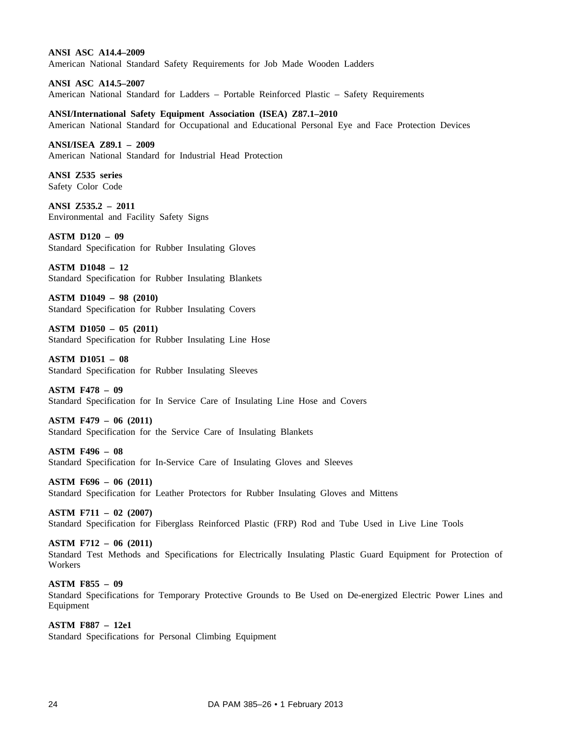# **ANSI ASC A14.4–2009**

American National Standard Safety Requirements for Job Made Wooden Ladders

**ANSI ASC A14.5–2007** American National Standard for Ladders – Portable Reinforced Plastic – Safety Requirements

**ANSI/International Safety Equipment Association (ISEA) Z87.1–2010** American National Standard for Occupational and Educational Personal Eye and Face Protection Devices

### **ANSI/ISEA Z89.1 – 2009**

American National Standard for Industrial Head Protection

**ANSI Z535 series** Safety Color Code

**ANSI Z535.2 – 2011** Environmental and Facility Safety Signs

**ASTM D120 – 09** Standard Specification for Rubber Insulating Gloves

**ASTM D1048 – 12** Standard Specification for Rubber Insulating Blankets

**ASTM D1049 – 98 (2010)** Standard Specification for Rubber Insulating Covers

**ASTM D1050 – 05 (2011)** Standard Specification for Rubber Insulating Line Hose

**ASTM D1051 – 08** Standard Specification for Rubber Insulating Sleeves

**ASTM F478 – 09** Standard Specification for In Service Care of Insulating Line Hose and Covers

**ASTM F479 – 06 (2011)** Standard Specification for the Service Care of Insulating Blankets

**ASTM F496 – 08** Standard Specification for In-Service Care of Insulating Gloves and Sleeves

**ASTM F696 – 06 (2011)** Standard Specification for Leather Protectors for Rubber Insulating Gloves and Mittens

**ASTM F711 – 02 (2007)** Standard Specification for Fiberglass Reinforced Plastic (FRP) Rod and Tube Used in Live Line Tools

**ASTM F712 – 06 (2011)** Standard Test Methods and Specifications for Electrically Insulating Plastic Guard Equipment for Protection of **Workers** 

**ASTM F855 – 09** Standard Specifications for Temporary Protective Grounds to Be Used on De-energized Electric Power Lines and Equipment

**ASTM F887 – 12e1** Standard Specifications for Personal Climbing Equipment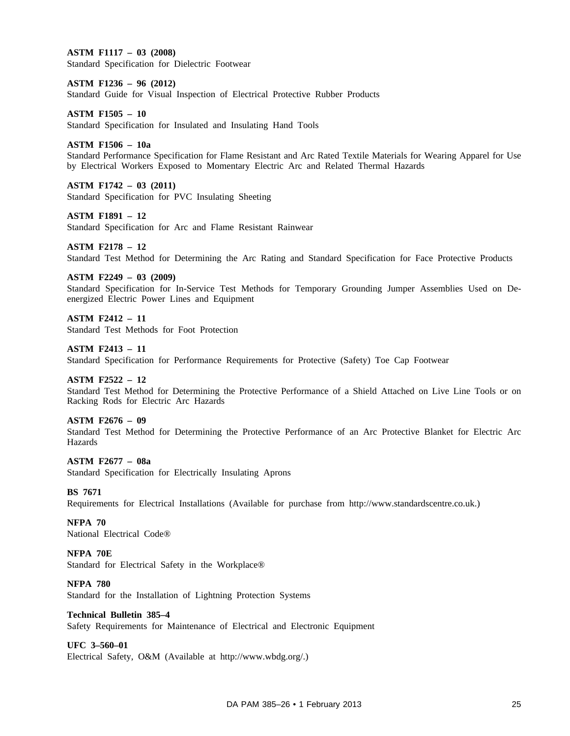**ASTM F1117 – 03 (2008)**

Standard Specification for Dielectric Footwear

**ASTM F1236 – 96 (2012)** Standard Guide for Visual Inspection of Electrical Protective Rubber Products

**ASTM F1505 – 10** Standard Specification for Insulated and Insulating Hand Tools

**ASTM F1506 – 10a**

Standard Performance Specification for Flame Resistant and Arc Rated Textile Materials for Wearing Apparel for Use by Electrical Workers Exposed to Momentary Electric Arc and Related Thermal Hazards

**ASTM F1742 – 03 (2011)** Standard Specification for PVC Insulating Sheeting

**ASTM F1891 – 12** Standard Specification for Arc and Flame Resistant Rainwear

**ASTM F2178 – 12** Standard Test Method for Determining the Arc Rating and Standard Specification for Face Protective Products

**ASTM F2249 – 03 (2009)** Standard Specification for In-Service Test Methods for Temporary Grounding Jumper Assemblies Used on Deenergized Electric Power Lines and Equipment

**ASTM F2412 – 11** Standard Test Methods for Foot Protection

**ASTM F2413 – 11** Standard Specification for Performance Requirements for Protective (Safety) Toe Cap Footwear

**ASTM F2522 – 12** Standard Test Method for Determining the Protective Performance of a Shield Attached on Live Line Tools or on Racking Rods for Electric Arc Hazards

**ASTM F2676 – 09** Standard Test Method for Determining the Protective Performance of an Arc Protective Blanket for Electric Arc Hazards

**ASTM F2677 – 08a** Standard Specification for Electrically Insulating Aprons

**BS 7671**

Requirements for Electrical Installations (Available for purchase from http://www.standardscentre.co.uk.)

**NFPA 70** National Electrical Code®

**NFPA 70E** Standard for Electrical Safety in the Workplace®

**NFPA 780** Standard for the Installation of Lightning Protection Systems

**Technical Bulletin 385–4** Safety Requirements for Maintenance of Electrical and Electronic Equipment

**UFC 3–560–01** Electrical Safety, O&M (Available at http://www.wbdg.org/.)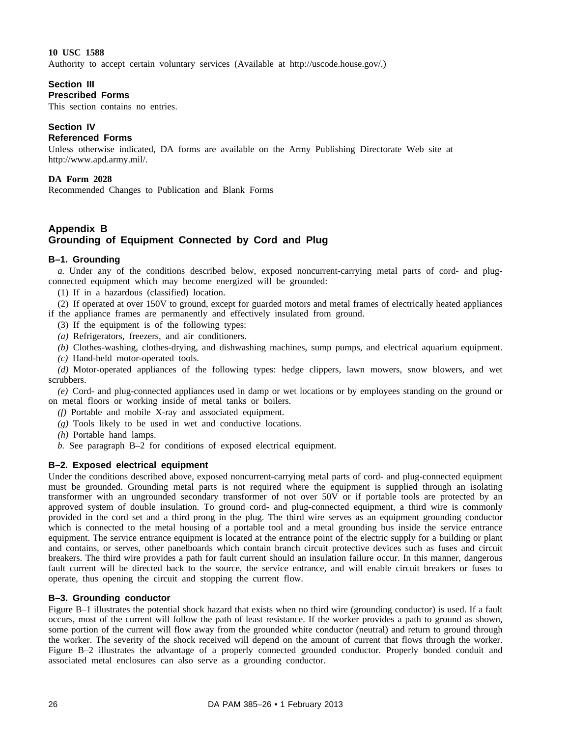# **10 USC 1588**

Authority to accept certain voluntary services (Available at http://uscode.house.gov/.)

# **Section III**

# **Prescribed Forms**

This section contains no entries.

# **Section IV**

# **Referenced Forms**

Unless otherwise indicated, DA forms are available on the Army Publishing Directorate Web site at http://www.apd.army.mil/.

# **DA Form 2028**

Recommended Changes to Publication and Blank Forms

# **Appendix B Grounding of Equipment Connected by Cord and Plug**

# **B–1. Grounding**

*a.* Under any of the conditions described below, exposed noncurrent-carrying metal parts of cord- and plugconnected equipment which may become energized will be grounded:

(1) If in a hazardous (classified) location.

(2) If operated at over 150V to ground, except for guarded motors and metal frames of electrically heated appliances if the appliance frames are permanently and effectively insulated from ground.

- (3) If the equipment is of the following types:
- *(a)* Refrigerators, freezers, and air conditioners.
- *(b)* Clothes-washing, clothes-drying, and dishwashing machines, sump pumps, and electrical aquarium equipment.
- *(c)* Hand-held motor-operated tools.

*(d)* Motor-operated appliances of the following types: hedge clippers, lawn mowers, snow blowers, and wet scrubbers.

*(e)* Cord- and plug-connected appliances used in damp or wet locations or by employees standing on the ground or on metal floors or working inside of metal tanks or boilers.

*(f)* Portable and mobile X-ray and associated equipment.

- *(g)* Tools likely to be used in wet and conductive locations.
- *(h)* Portable hand lamps.
- *b.* See paragraph B–2 for conditions of exposed electrical equipment.

# **B–2. Exposed electrical equipment**

Under the conditions described above, exposed noncurrent-carrying metal parts of cord- and plug-connected equipment must be grounded. Grounding metal parts is not required where the equipment is supplied through an isolating transformer with an ungrounded secondary transformer of not over 50V or if portable tools are protected by an approved system of double insulation. To ground cord- and plug-connected equipment, a third wire is commonly provided in the cord set and a third prong in the plug. The third wire serves as an equipment grounding conductor which is connected to the metal housing of a portable tool and a metal grounding bus inside the service entrance equipment. The service entrance equipment is located at the entrance point of the electric supply for a building or plant and contains, or serves, other panelboards which contain branch circuit protective devices such as fuses and circuit breakers. The third wire provides a path for fault current should an insulation failure occur. In this manner, dangerous fault current will be directed back to the source, the service entrance, and will enable circuit breakers or fuses to operate, thus opening the circuit and stopping the current flow.

# **B–3. Grounding conductor**

Figure B–1 illustrates the potential shock hazard that exists when no third wire (grounding conductor) is used. If a fault occurs, most of the current will follow the path of least resistance. If the worker provides a path to ground as shown, some portion of the current will flow away from the grounded white conductor (neutral) and return to ground through the worker. The severity of the shock received will depend on the amount of current that flows through the worker. Figure B–2 illustrates the advantage of a properly connected grounded conductor. Properly bonded conduit and associated metal enclosures can also serve as a grounding conductor.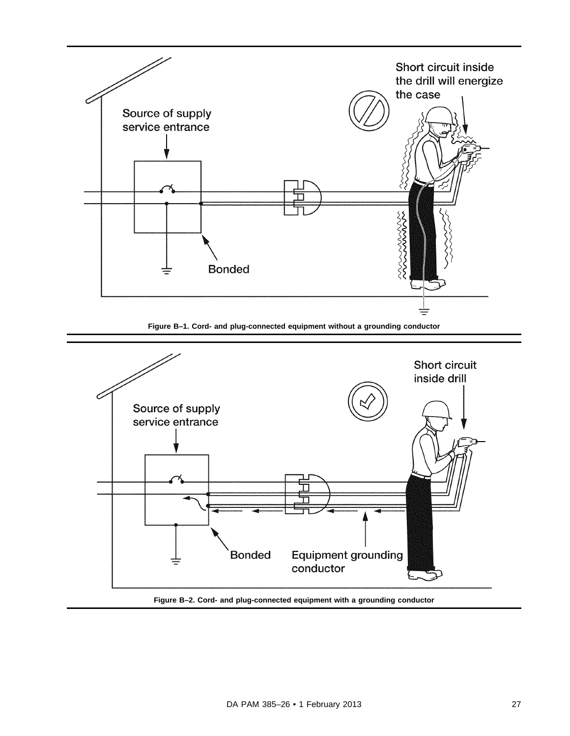

**Figure B–1. Cord- and plug-connected equipment without a grounding conductor**



**Figure B–2. Cord- and plug-connected equipment with a grounding conductor**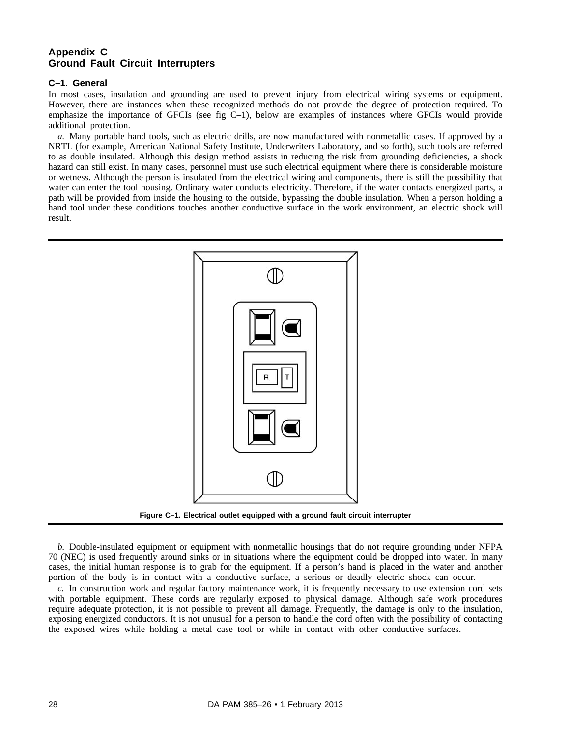# **Appendix C Ground Fault Circuit Interrupters**

# **C–1. General**

In most cases, insulation and grounding are used to prevent injury from electrical wiring systems or equipment. However, there are instances when these recognized methods do not provide the degree of protection required. To emphasize the importance of GFCIs (see fig C–1), below are examples of instances where GFCIs would provide additional protection.

*a.* Many portable hand tools, such as electric drills, are now manufactured with nonmetallic cases. If approved by a NRTL (for example, American National Safety Institute, Underwriters Laboratory, and so forth), such tools are referred to as double insulated. Although this design method assists in reducing the risk from grounding deficiencies, a shock hazard can still exist. In many cases, personnel must use such electrical equipment where there is considerable moisture or wetness. Although the person is insulated from the electrical wiring and components, there is still the possibility that water can enter the tool housing. Ordinary water conducts electricity. Therefore, if the water contacts energized parts, a path will be provided from inside the housing to the outside, bypassing the double insulation. When a person holding a hand tool under these conditions touches another conductive surface in the work environment, an electric shock will result.



**Figure C–1. Electrical outlet equipped with a ground fault circuit interrupter**

*b.* Double-insulated equipment or equipment with nonmetallic housings that do not require grounding under NFPA 70 (NEC) is used frequently around sinks or in situations where the equipment could be dropped into water. In many cases, the initial human response is to grab for the equipment. If a person's hand is placed in the water and another portion of the body is in contact with a conductive surface, a serious or deadly electric shock can occur.

*c.* In construction work and regular factory maintenance work, it is frequently necessary to use extension cord sets with portable equipment. These cords are regularly exposed to physical damage. Although safe work procedures require adequate protection, it is not possible to prevent all damage. Frequently, the damage is only to the insulation, exposing energized conductors. It is not unusual for a person to handle the cord often with the possibility of contacting the exposed wires while holding a metal case tool or while in contact with other conductive surfaces.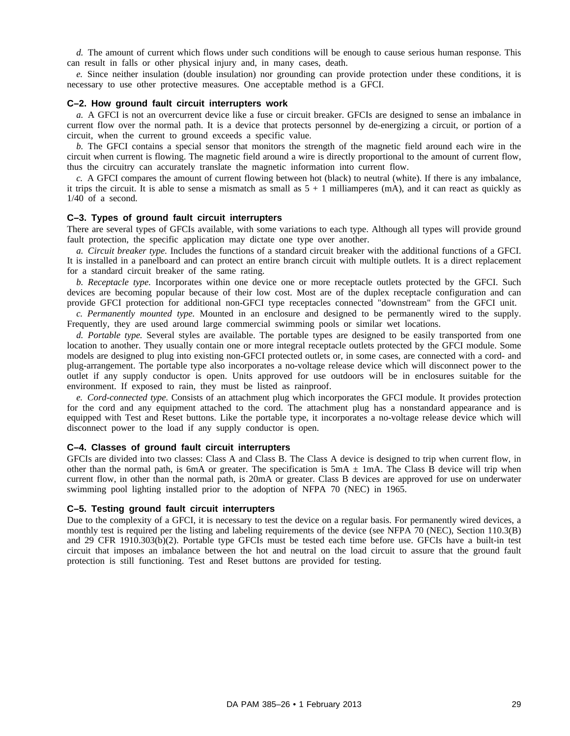*d.* The amount of current which flows under such conditions will be enough to cause serious human response. This can result in falls or other physical injury and, in many cases, death.

*e.* Since neither insulation (double insulation) nor grounding can provide protection under these conditions, it is necessary to use other protective measures. One acceptable method is a GFCI.

# **C–2. How ground fault circuit interrupters work**

*a.* A GFCI is not an overcurrent device like a fuse or circuit breaker. GFCIs are designed to sense an imbalance in current flow over the normal path. It is a device that protects personnel by de-energizing a circuit, or portion of a circuit, when the current to ground exceeds a specific value.

*b.* The GFCI contains a special sensor that monitors the strength of the magnetic field around each wire in the circuit when current is flowing. The magnetic field around a wire is directly proportional to the amount of current flow, thus the circuitry can accurately translate the magnetic information into current flow.

*c.* A GFCI compares the amount of current flowing between hot (black) to neutral (white). If there is any imbalance, it trips the circuit. It is able to sense a mismatch as small as  $5 + 1$  milliamperes (mA), and it can react as quickly as 1/40 of a second.

### **C–3. Types of ground fault circuit interrupters**

There are several types of GFCIs available, with some variations to each type. Although all types will provide ground fault protection, the specific application may dictate one type over another.

*a. Circuit breaker type.* Includes the functions of a standard circuit breaker with the additional functions of a GFCI. It is installed in a panelboard and can protect an entire branch circuit with multiple outlets. It is a direct replacement for a standard circuit breaker of the same rating.

*b. Receptacle type.* Incorporates within one device one or more receptacle outlets protected by the GFCI. Such devices are becoming popular because of their low cost. Most are of the duplex receptacle configuration and can provide GFCI protection for additional non-GFCI type receptacles connected "downstream" from the GFCI unit.

*c. Permanently mounted type.* Mounted in an enclosure and designed to be permanently wired to the supply. Frequently, they are used around large commercial swimming pools or similar wet locations.

*d. Portable type.* Several styles are available. The portable types are designed to be easily transported from one location to another. They usually contain one or more integral receptacle outlets protected by the GFCI module. Some models are designed to plug into existing non-GFCI protected outlets or, in some cases, are connected with a cord- and plug-arrangement. The portable type also incorporates a no-voltage release device which will disconnect power to the outlet if any supply conductor is open. Units approved for use outdoors will be in enclosures suitable for the environment. If exposed to rain, they must be listed as rainproof.

*e. Cord-connected type.* Consists of an attachment plug which incorporates the GFCI module. It provides protection for the cord and any equipment attached to the cord. The attachment plug has a nonstandard appearance and is equipped with Test and Reset buttons. Like the portable type, it incorporates a no-voltage release device which will disconnect power to the load if any supply conductor is open.

# **C–4. Classes of ground fault circuit interrupters**

GFCIs are divided into two classes: Class A and Class B. The Class A device is designed to trip when current flow, in other than the normal path, is 6mA or greater. The specification is  $5mA \pm 1mA$ . The Class B device will trip when current flow, in other than the normal path, is 20mA or greater. Class B devices are approved for use on underwater swimming pool lighting installed prior to the adoption of NFPA 70 (NEC) in 1965.

### **C–5. Testing ground fault circuit interrupters**

Due to the complexity of a GFCI, it is necessary to test the device on a regular basis. For permanently wired devices, a monthly test is required per the listing and labeling requirements of the device (see NFPA 70 (NEC), Section 110.3(B) and 29 CFR 1910.303(b)(2). Portable type GFCIs must be tested each time before use. GFCIs have a built-in test circuit that imposes an imbalance between the hot and neutral on the load circuit to assure that the ground fault protection is still functioning. Test and Reset buttons are provided for testing.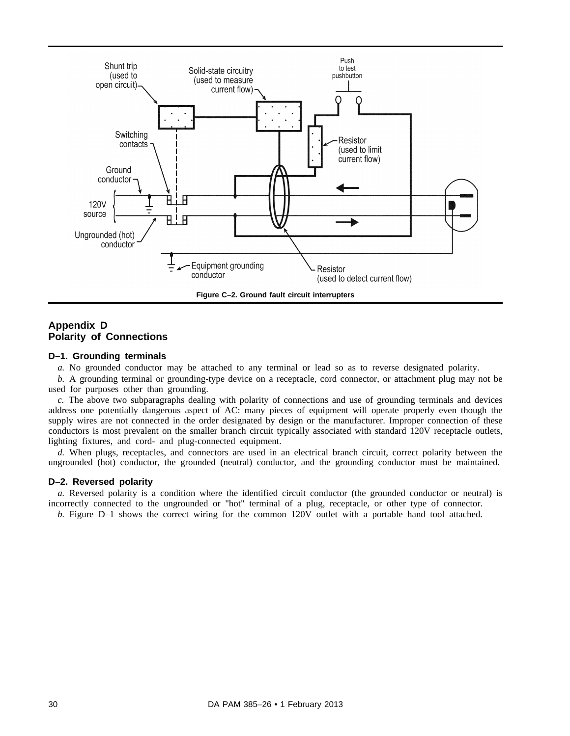

# **Appendix D Polarity of Connections**

# **D–1. Grounding terminals**

*a.* No grounded conductor may be attached to any terminal or lead so as to reverse designated polarity.

*b.* A grounding terminal or grounding-type device on a receptacle, cord connector, or attachment plug may not be used for purposes other than grounding.

*c.* The above two subparagraphs dealing with polarity of connections and use of grounding terminals and devices address one potentially dangerous aspect of AC: many pieces of equipment will operate properly even though the supply wires are not connected in the order designated by design or the manufacturer. Improper connection of these conductors is most prevalent on the smaller branch circuit typically associated with standard 120V receptacle outlets, lighting fixtures, and cord- and plug-connected equipment.

*d.* When plugs, receptacles, and connectors are used in an electrical branch circuit, correct polarity between the ungrounded (hot) conductor, the grounded (neutral) conductor, and the grounding conductor must be maintained.

# **D–2. Reversed polarity**

*a.* Reversed polarity is a condition where the identified circuit conductor (the grounded conductor or neutral) is incorrectly connected to the ungrounded or "hot" terminal of a plug, receptacle, or other type of connector.

*b.* Figure D–1 shows the correct wiring for the common 120V outlet with a portable hand tool attached.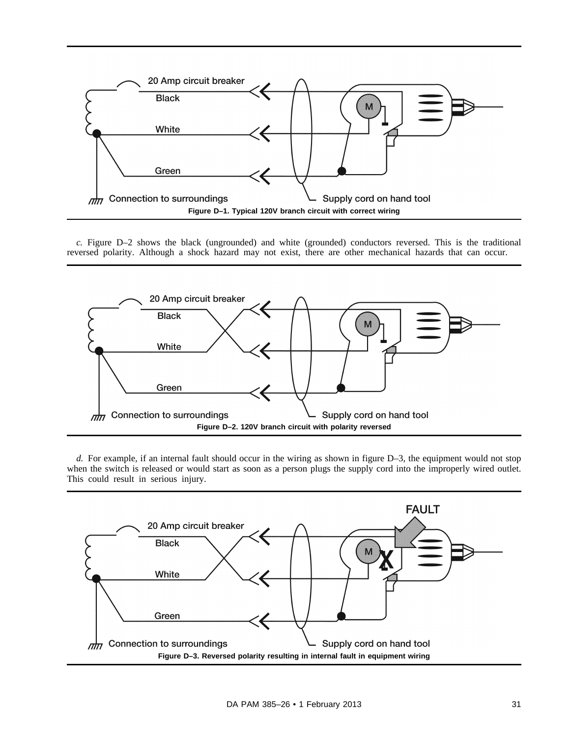

*c.* Figure D–2 shows the black (ungrounded) and white (grounded) conductors reversed. This is the traditional reversed polarity. Although a shock hazard may not exist, there are other mechanical hazards that can occur.



*d.* For example, if an internal fault should occur in the wiring as shown in figure D–3, the equipment would not stop when the switch is released or would start as soon as a person plugs the supply cord into the improperly wired outlet. This could result in serious injury.

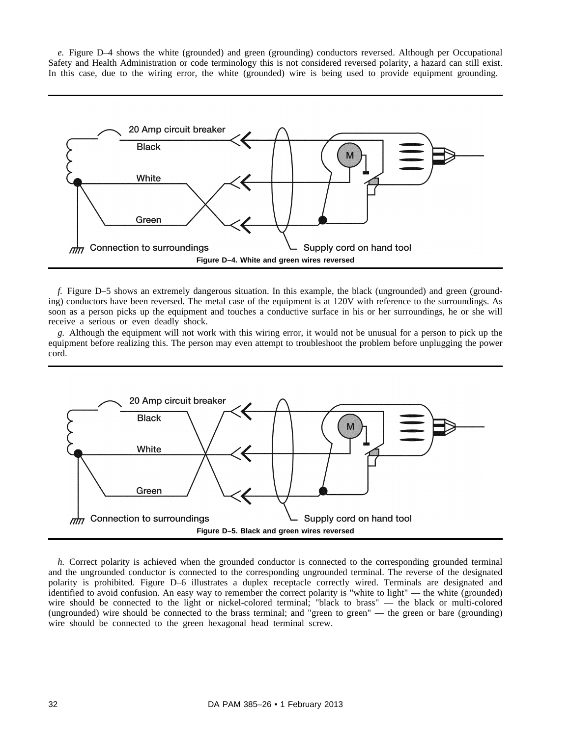*e.* Figure D–4 shows the white (grounded) and green (grounding) conductors reversed. Although per Occupational Safety and Health Administration or code terminology this is not considered reversed polarity, a hazard can still exist. In this case, due to the wiring error, the white (grounded) wire is being used to provide equipment grounding.



*f.* Figure D–5 shows an extremely dangerous situation. In this example, the black (ungrounded) and green (grounding) conductors have been reversed. The metal case of the equipment is at 120V with reference to the surroundings. As soon as a person picks up the equipment and touches a conductive surface in his or her surroundings, he or she will receive a serious or even deadly shock.

*g.* Although the equipment will not work with this wiring error, it would not be unusual for a person to pick up the equipment before realizing this. The person may even attempt to troubleshoot the problem before unplugging the power cord.



*h.* Correct polarity is achieved when the grounded conductor is connected to the corresponding grounded terminal and the ungrounded conductor is connected to the corresponding ungrounded terminal. The reverse of the designated polarity is prohibited. Figure D–6 illustrates a duplex receptacle correctly wired. Terminals are designated and identified to avoid confusion. An easy way to remember the correct polarity is "white to light" — the white (grounded) wire should be connected to the light or nickel-colored terminal; "black to brass" — the black or multi-colored (ungrounded) wire should be connected to the brass terminal; and "green to green" — the green or bare (grounding) wire should be connected to the green hexagonal head terminal screw.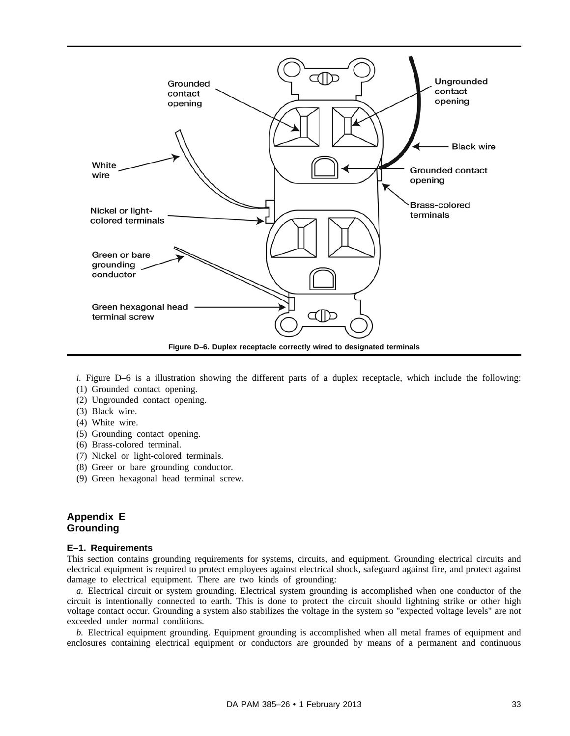

*i.* Figure D–6 is a illustration showing the different parts of a duplex receptacle, which include the following:

- (1) Grounded contact opening.
- (2) Ungrounded contact opening.
- (3) Black wire.
- (4) White wire.
- (5) Grounding contact opening.
- (6) Brass-colored terminal.
- (7) Nickel or light-colored terminals.
- (8) Greer or bare grounding conductor.
- (9) Green hexagonal head terminal screw.

# **Appendix E Grounding**

# **E–1. Requirements**

This section contains grounding requirements for systems, circuits, and equipment. Grounding electrical circuits and electrical equipment is required to protect employees against electrical shock, safeguard against fire, and protect against damage to electrical equipment. There are two kinds of grounding:

*a.* Electrical circuit or system grounding. Electrical system grounding is accomplished when one conductor of the circuit is intentionally connected to earth. This is done to protect the circuit should lightning strike or other high voltage contact occur. Grounding a system also stabilizes the voltage in the system so "expected voltage levels" are not exceeded under normal conditions.

*b.* Electrical equipment grounding. Equipment grounding is accomplished when all metal frames of equipment and enclosures containing electrical equipment or conductors are grounded by means of a permanent and continuous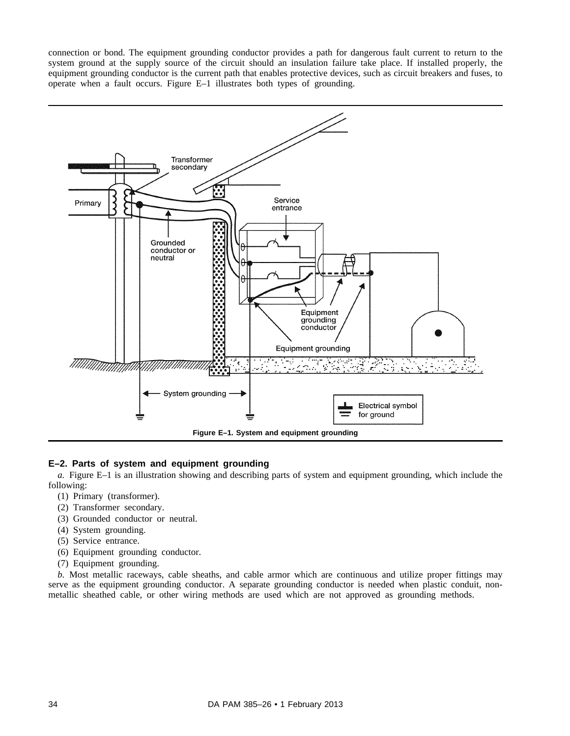connection or bond. The equipment grounding conductor provides a path for dangerous fault current to return to the system ground at the supply source of the circuit should an insulation failure take place. If installed properly, the equipment grounding conductor is the current path that enables protective devices, such as circuit breakers and fuses, to operate when a fault occurs. Figure E–1 illustrates both types of grounding.



# **E–2. Parts of system and equipment grounding**

*a.* Figure E–1 is an illustration showing and describing parts of system and equipment grounding, which include the following:

- (1) Primary (transformer).
- (2) Transformer secondary.
- (3) Grounded conductor or neutral.
- (4) System grounding.
- (5) Service entrance.
- (6) Equipment grounding conductor.
- (7) Equipment grounding.

*b.* Most metallic raceways, cable sheaths, and cable armor which are continuous and utilize proper fittings may serve as the equipment grounding conductor. A separate grounding conductor is needed when plastic conduit, nonmetallic sheathed cable, or other wiring methods are used which are not approved as grounding methods.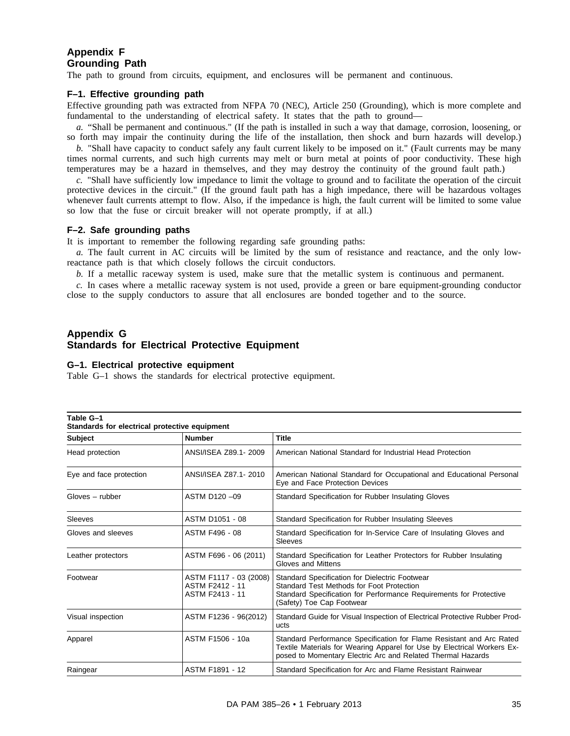# **Appendix F Grounding Path**

The path to ground from circuits, equipment, and enclosures will be permanent and continuous.

# **F–1. Effective grounding path**

Effective grounding path was extracted from NFPA 70 (NEC), Article 250 (Grounding), which is more complete and fundamental to the understanding of electrical safety. It states that the path to ground—

*a.* "Shall be permanent and continuous." (If the path is installed in such a way that damage, corrosion, loosening, or so forth may impair the continuity during the life of the installation, then shock and burn hazards will develop.)

*b.* "Shall have capacity to conduct safely any fault current likely to be imposed on it." (Fault currents may be many times normal currents, and such high currents may melt or burn metal at points of poor conductivity. These high temperatures may be a hazard in themselves, and they may destroy the continuity of the ground fault path.)

*c.* "Shall have sufficiently low impedance to limit the voltage to ground and to facilitate the operation of the circuit protective devices in the circuit." (If the ground fault path has a high impedance, there will be hazardous voltages whenever fault currents attempt to flow. Also, if the impedance is high, the fault current will be limited to some value so low that the fuse or circuit breaker will not operate promptly, if at all.)

# **F–2. Safe grounding paths**

It is important to remember the following regarding safe grounding paths:

*a.* The fault current in AC circuits will be limited by the sum of resistance and reactance, and the only lowreactance path is that which closely follows the circuit conductors.

*b.* If a metallic raceway system is used, make sure that the metallic system is continuous and permanent.

*c.* In cases where a metallic raceway system is not used, provide a green or bare equipment-grounding conductor close to the supply conductors to assure that all enclosures are bonded together and to the source.

# **Appendix G Standards for Electrical Protective Equipment**

# **G–1. Electrical protective equipment**

Table G–1 shows the standards for electrical protective equipment.

| Table G-1<br>Standards for electrical protective equipment |                                                              |                                                                                                                                                                                                                |
|------------------------------------------------------------|--------------------------------------------------------------|----------------------------------------------------------------------------------------------------------------------------------------------------------------------------------------------------------------|
| <b>Subject</b>                                             | <b>Number</b>                                                | <b>Title</b>                                                                                                                                                                                                   |
| Head protection                                            | ANSI/ISEA Z89.1-2009                                         | American National Standard for Industrial Head Protection                                                                                                                                                      |
| Eye and face protection                                    | ANSI/ISEA Z87.1-2010                                         | American National Standard for Occupational and Educational Personal<br>Eye and Face Protection Devices                                                                                                        |
| Gloves - rubber                                            | ASTM D120 -09                                                | Standard Specification for Rubber Insulating Gloves                                                                                                                                                            |
| <b>Sleeves</b>                                             | ASTM D1051 - 08                                              | Standard Specification for Rubber Insulating Sleeves                                                                                                                                                           |
| Gloves and sleeves                                         | ASTM F496 - 08                                               | Standard Specification for In-Service Care of Insulating Gloves and<br>Sleeves                                                                                                                                 |
| Leather protectors                                         | ASTM F696 - 06 (2011)                                        | Standard Specification for Leather Protectors for Rubber Insulating<br>Gloves and Mittens                                                                                                                      |
| Footwear                                                   | ASTM F1117 - 03 (2008)<br>ASTM F2412 - 11<br>ASTM F2413 - 11 | Standard Specification for Dielectric Footwear<br>Standard Test Methods for Foot Protection<br>Standard Specification for Performance Requirements for Protective<br>(Safety) Toe Cap Footwear                 |
| Visual inspection                                          | ASTM F1236 - 96(2012)                                        | Standard Guide for Visual Inspection of Electrical Protective Rubber Prod-<br>ucts                                                                                                                             |
| Apparel                                                    | ASTM F1506 - 10a                                             | Standard Performance Specification for Flame Resistant and Arc Rated<br>Textile Materials for Wearing Apparel for Use by Electrical Workers Ex-<br>posed to Momentary Electric Arc and Related Thermal Hazards |
| Raingear                                                   | ASTM F1891 - 12                                              | Standard Specification for Arc and Flame Resistant Rainwear                                                                                                                                                    |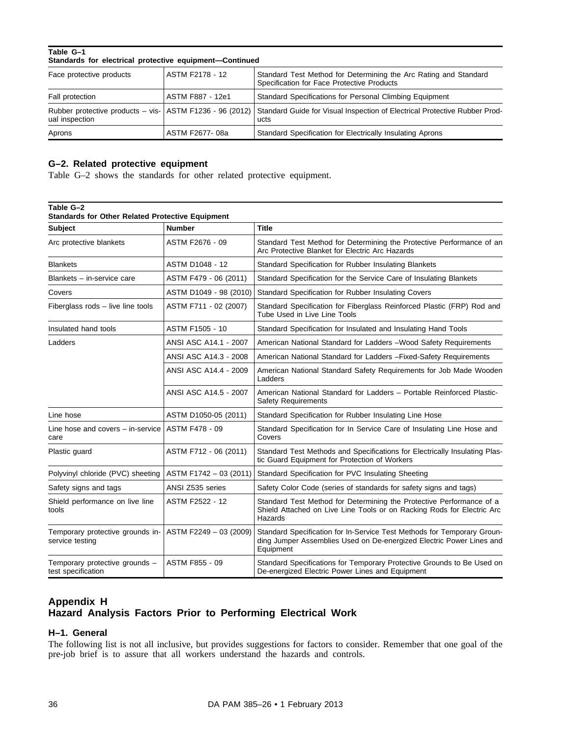# **Table G–1**

| Face protective products | ASTM F2178 - 12  | Standard Test Method for Determining the Arc Rating and Standard<br>Specification for Face Protective Products                              |
|--------------------------|------------------|---------------------------------------------------------------------------------------------------------------------------------------------|
| Fall protection          | ASTM F887 - 12e1 | Standard Specifications for Personal Climbing Equipment                                                                                     |
| ual inspection           |                  | Rubber protective products - vis- ASTM F1236 - 96 (2012) Standard Guide for Visual Inspection of Electrical Protective Rubber Prod-<br>ucts |
| Aprons                   | ASTM F2677-08a   | Standard Specification for Electrically Insulating Aprons                                                                                   |

# **Standards for electrical protective equipment—Continued**

# **G–2. Related protective equipment**

Table G–2 shows the standards for other related protective equipment.

| Table G-2<br><b>Standards for Other Related Protective Equipment</b>       |                        |                                                                                                                                                              |
|----------------------------------------------------------------------------|------------------------|--------------------------------------------------------------------------------------------------------------------------------------------------------------|
| <b>Subject</b>                                                             | <b>Number</b>          | <b>Title</b>                                                                                                                                                 |
| Arc protective blankets                                                    | ASTM F2676 - 09        | Standard Test Method for Determining the Protective Performance of an<br>Arc Protective Blanket for Electric Arc Hazards                                     |
| <b>Blankets</b>                                                            | ASTM D1048 - 12        | Standard Specification for Rubber Insulating Blankets                                                                                                        |
| Blankets - in-service care                                                 | ASTM F479 - 06 (2011)  | Standard Specification for the Service Care of Insulating Blankets                                                                                           |
| Covers                                                                     | ASTM D1049 - 98 (2010) | Standard Specification for Rubber Insulating Covers                                                                                                          |
| Fiberglass rods - live line tools                                          | ASTM F711 - 02 (2007)  | Standard Specification for Fiberglass Reinforced Plastic (FRP) Rod and<br>Tube Used in Live Line Tools                                                       |
| Insulated hand tools                                                       | ASTM F1505 - 10        | Standard Specification for Insulated and Insulating Hand Tools                                                                                               |
| Ladders                                                                    | ANSI ASC A14.1 - 2007  | American National Standard for Ladders - Wood Safety Requirements                                                                                            |
|                                                                            | ANSI ASC A14.3 - 2008  | American National Standard for Ladders - Fixed-Safety Requirements                                                                                           |
|                                                                            | ANSI ASC A14.4 - 2009  | American National Standard Safety Requirements for Job Made Wooden<br>Ladders                                                                                |
|                                                                            | ANSI ASC A14.5 - 2007  | American National Standard for Ladders - Portable Reinforced Plastic-<br><b>Safety Requirements</b>                                                          |
| Line hose                                                                  | ASTM D1050-05 (2011)   | Standard Specification for Rubber Insulating Line Hose                                                                                                       |
| Line hose and covers - in-service<br>care                                  | ASTM F478 - 09         | Standard Specification for In Service Care of Insulating Line Hose and<br>Covers                                                                             |
| Plastic guard                                                              | ASTM F712 - 06 (2011)  | Standard Test Methods and Specifications for Electrically Insulating Plas-<br>tic Guard Equipment for Protection of Workers                                  |
| Polyvinyl chloride (PVC) sheeting                                          | ASTM F1742 - 03 (2011) | Standard Specification for PVC Insulating Sheeting                                                                                                           |
| Safety signs and tags                                                      | ANSI Z535 series       | Safety Color Code (series of standards for safety signs and tags)                                                                                            |
| Shield performance on live line<br>tools                                   | ASTM F2522 - 12        | Standard Test Method for Determining the Protective Performance of a<br>Shield Attached on Live Line Tools or on Racking Rods for Electric Arc<br>Hazards    |
| Temporary protective grounds in- ASTM F2249 - 03 (2009)<br>service testing |                        | Standard Specification for In-Service Test Methods for Temporary Groun-<br>ding Jumper Assemblies Used on De-energized Electric Power Lines and<br>Equipment |
| Temporary protective grounds -<br>test specification                       | ASTM F855 - 09         | Standard Specifications for Temporary Protective Grounds to Be Used on<br>De-energized Electric Power Lines and Equipment                                    |

# **Appendix H Hazard Analysis Factors Prior to Performing Electrical Work**

# **H–1. General**

The following list is not all inclusive, but provides suggestions for factors to consider. Remember that one goal of the pre-job brief is to assure that all workers understand the hazards and controls.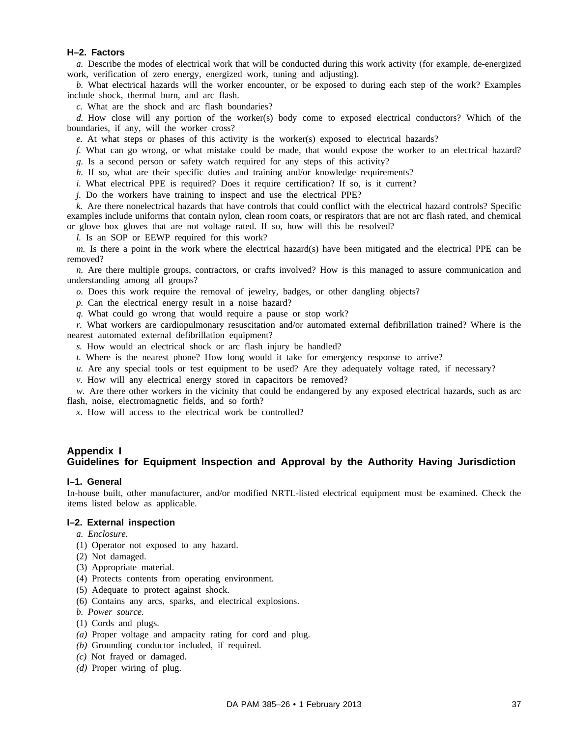# **H–2. Factors**

*a.* Describe the modes of electrical work that will be conducted during this work activity (for example, de-energized work, verification of zero energy, energized work, tuning and adjusting).

*b.* What electrical hazards will the worker encounter, or be exposed to during each step of the work? Examples include shock, thermal burn, and arc flash.

*c.* What are the shock and arc flash boundaries?

d. How close will any portion of the worker(s) body come to exposed electrical conductors? Which of the boundaries, if any, will the worker cross?

*e.* At what steps or phases of this activity is the worker(s) exposed to electrical hazards?

*f.* What can go wrong, or what mistake could be made, that would expose the worker to an electrical hazard? *g.* Is a second person or safety watch required for any steps of this activity?

*h.* If so, what are their specific duties and training and/or knowledge requirements?

*i.* What electrical PPE is required? Does it require certification? If so, is it current?

*j.* Do the workers have training to inspect and use the electrical PPE?

*k.* Are there nonelectrical hazards that have controls that could conflict with the electrical hazard controls? Specific examples include uniforms that contain nylon, clean room coats, or respirators that are not arc flash rated, and chemical or glove box gloves that are not voltage rated. If so, how will this be resolved?

*l.* Is an SOP or EEWP required for this work?

*m.* Is there a point in the work where the electrical hazard(s) have been mitigated and the electrical PPE can be removed?

*n.* Are there multiple groups, contractors, or crafts involved? How is this managed to assure communication and understanding among all groups?

*o.* Does this work require the removal of jewelry, badges, or other dangling objects?

*p.* Can the electrical energy result in a noise hazard?

*q.* What could go wrong that would require a pause or stop work?

*r.* What workers are cardiopulmonary resuscitation and/or automated external defibrillation trained? Where is the nearest automated external defibrillation equipment?

*s.* How would an electrical shock or arc flash injury be handled?

*t.* Where is the nearest phone? How long would it take for emergency response to arrive?

*u.* Are any special tools or test equipment to be used? Are they adequately voltage rated, if necessary?

*v.* How will any electrical energy stored in capacitors be removed?

*w.* Are there other workers in the vicinity that could be endangered by any exposed electrical hazards, such as arc flash, noise, electromagnetic fields, and so forth?

*x.* How will access to the electrical work be controlled?

# **Appendix I Guidelines for Equipment Inspection and Approval by the Authority Having Jurisdiction**

# **I–1. General**

In-house built, other manufacturer, and/or modified NRTL-listed electrical equipment must be examined. Check the items listed below as applicable.

### **I–2. External inspection**

*a. Enclosure.*

- (1) Operator not exposed to any hazard.
- (2) Not damaged.
- (3) Appropriate material.
- (4) Protects contents from operating environment.
- (5) Adequate to protect against shock.
- (6) Contains any arcs, sparks, and electrical explosions.
- *b. Power source.*
- (1) Cords and plugs.
- *(a)* Proper voltage and ampacity rating for cord and plug.
- *(b)* Grounding conductor included, if required.
- *(c)* Not frayed or damaged.
- *(d)* Proper wiring of plug.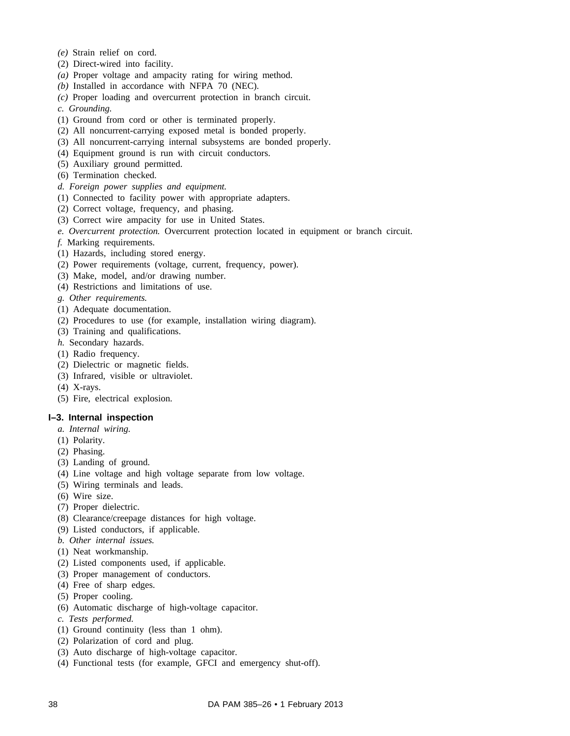- *(e)* Strain relief on cord.
- (2) Direct-wired into facility.
- *(a)* Proper voltage and ampacity rating for wiring method.
- *(b)* Installed in accordance with NFPA 70 (NEC).
- *(c)* Proper loading and overcurrent protection in branch circuit.
- *c. Grounding.*
- (1) Ground from cord or other is terminated properly.
- (2) All noncurrent-carrying exposed metal is bonded properly.
- (3) All noncurrent-carrying internal subsystems are bonded properly.
- (4) Equipment ground is run with circuit conductors.
- (5) Auxiliary ground permitted.
- (6) Termination checked.
- *d. Foreign power supplies and equipment.*
- (1) Connected to facility power with appropriate adapters.
- (2) Correct voltage, frequency, and phasing.
- (3) Correct wire ampacity for use in United States.
- *e. Overcurrent protection.* Overcurrent protection located in equipment or branch circuit.
- *f.* Marking requirements.
- (1) Hazards, including stored energy.
- (2) Power requirements (voltage, current, frequency, power).
- (3) Make, model, and/or drawing number.
- (4) Restrictions and limitations of use.
- *g. Other requirements.*
- (1) Adequate documentation.
- (2) Procedures to use (for example, installation wiring diagram).
- (3) Training and qualifications.
- *h.* Secondary hazards.
- (1) Radio frequency.
- (2) Dielectric or magnetic fields.
- (3) Infrared, visible or ultraviolet.
- (4) X-rays.
- (5) Fire, electrical explosion.

# **I–3. Internal inspection**

- *a. Internal wiring.*
- (1) Polarity.
- (2) Phasing.
- (3) Landing of ground.
- (4) Line voltage and high voltage separate from low voltage.
- (5) Wiring terminals and leads.
- (6) Wire size.
- (7) Proper dielectric.
- (8) Clearance/creepage distances for high voltage.
- (9) Listed conductors, if applicable.
- *b. Other internal issues.*
- (1) Neat workmanship.
- (2) Listed components used, if applicable.
- (3) Proper management of conductors.
- (4) Free of sharp edges.
- (5) Proper cooling.
- (6) Automatic discharge of high-voltage capacitor.
- *c. Tests performed.*
- (1) Ground continuity (less than 1 ohm).
- (2) Polarization of cord and plug.
- (3) Auto discharge of high-voltage capacitor.
- (4) Functional tests (for example, GFCI and emergency shut-off).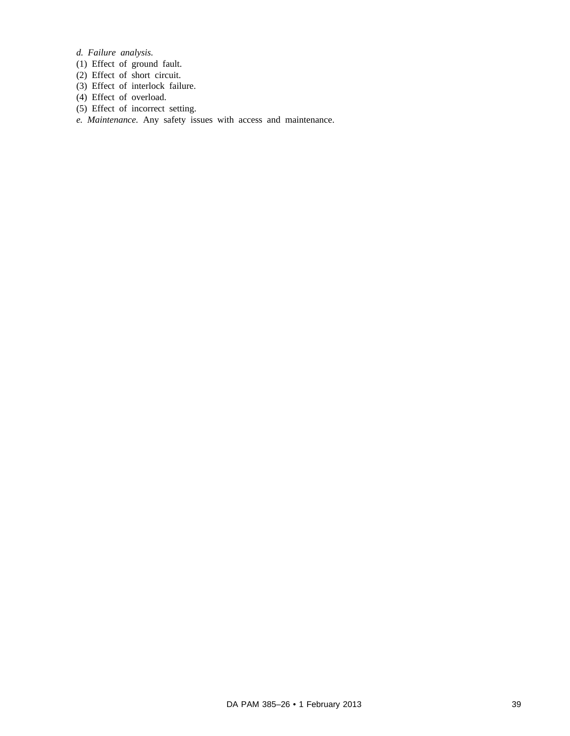- *d. Failure analysis.*
- (1) Effect of ground fault.
- (2) Effect of short circuit.
- (3) Effect of interlock failure.
- (4) Effect of overload.
- (5) Effect of incorrect setting.
- *e. Maintenance.* Any safety issues with access and maintenance.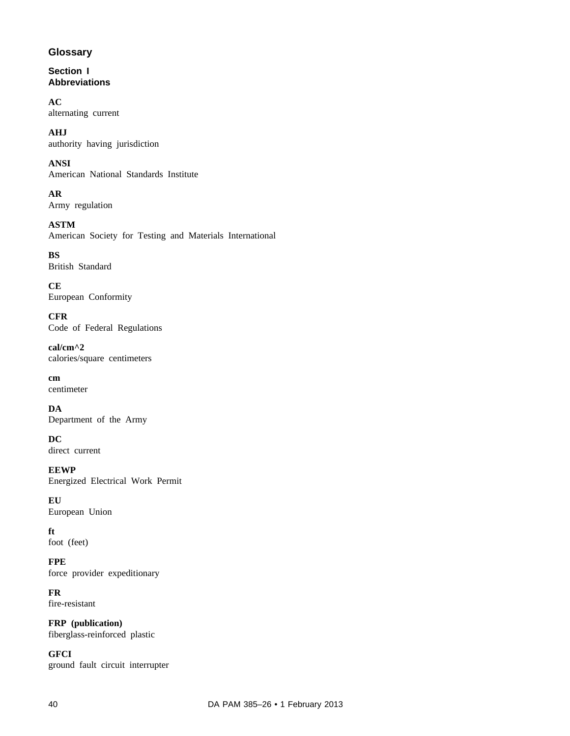# **Glossary**

**Section I Abbreviations**

**AC** alternating current

**AHJ** authority having jurisdiction

**ANSI** American National Standards Institute

**AR** Army regulation

**ASTM** American Society for Testing and Materials International

**BS** British Standard

**CE** European Conformity

**CFR** Code of Federal Regulations

**cal/cm^2** calories/square centimeters

**cm** centimeter

**DA** Department of the Army

**DC** direct current

**EEWP** Energized Electrical Work Permit

**EU** European Union

**ft** foot (feet)

**FPE** force provider expeditionary

**FR** fire-resistant

**FRP (publication)** fiberglass-reinforced plastic

**GFCI** ground fault circuit interrupter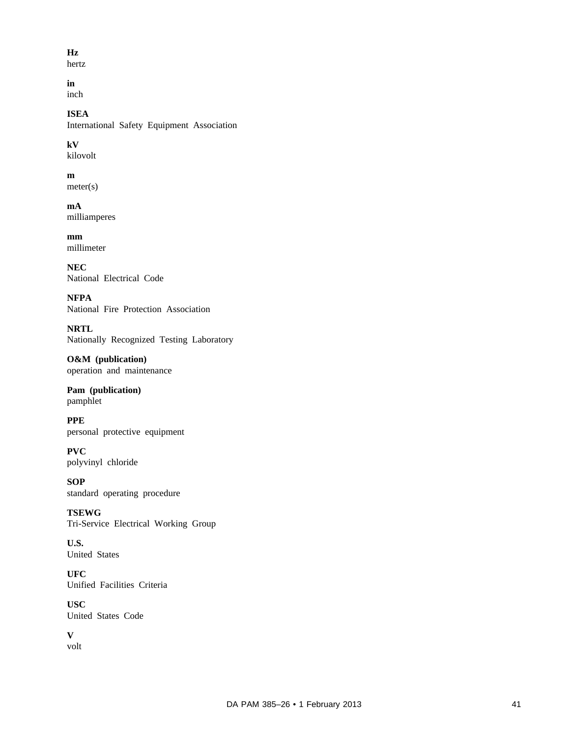# **Hz**

hertz

# **in** inch

**ISEA** International Safety Equipment Association

# **kV**

kilovolt

# **m**

meter(s)

**mA** milliamperes

**mm** millimeter

**NEC** National Electrical Code

**NFPA** National Fire Protection Association

**NRTL** Nationally Recognized Testing Laboratory

# **O&M (publication)** operation and maintenance

**Pam (publication)** pamphlet

**PPE** personal protective equipment

**PVC** polyvinyl chloride

**SOP** standard operating procedure

**TSEWG** Tri-Service Electrical Working Group

**U.S.** United States

**UFC** Unified Facilities Criteria

**USC** United States Code

**V** volt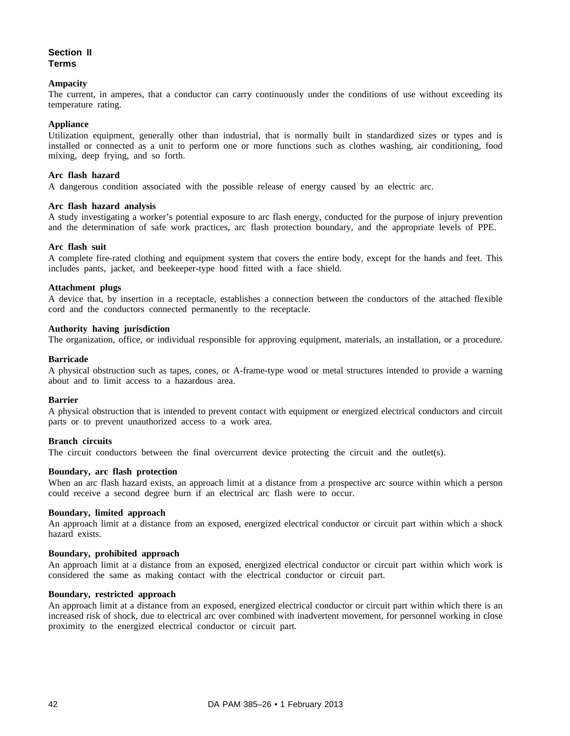# **Section II Terms**

# **Ampacity**

The current, in amperes, that a conductor can carry continuously under the conditions of use without exceeding its temperature rating.

# **Appliance**

Utilization equipment, generally other than industrial, that is normally built in standardized sizes or types and is installed or connected as a unit to perform one or more functions such as clothes washing, air conditioning, food mixing, deep frying, and so forth.

# **Arc flash hazard**

A dangerous condition associated with the possible release of energy caused by an electric arc.

# **Arc flash hazard analysis**

A study investigating a worker's potential exposure to arc flash energy, conducted for the purpose of injury prevention and the determination of safe work practices, arc flash protection boundary, and the appropriate levels of PPE.

# **Arc flash suit**

A complete fire-rated clothing and equipment system that covers the entire body, except for the hands and feet. This includes pants, jacket, and beekeeper-type hood fitted with a face shield.

# **Attachment plugs**

A device that, by insertion in a receptacle, establishes a connection between the conductors of the attached flexible cord and the conductors connected permanently to the receptacle.

# **Authority having jurisdiction**

The organization, office, or individual responsible for approving equipment, materials, an installation, or a procedure.

# **Barricade**

A physical obstruction such as tapes, cones, or A-frame-type wood or metal structures intended to provide a warning about and to limit access to a hazardous area.

### **Barrier**

A physical obstruction that is intended to prevent contact with equipment or energized electrical conductors and circuit parts or to prevent unauthorized access to a work area.

# **Branch circuits**

The circuit conductors between the final overcurrent device protecting the circuit and the outlet(s).

### **Boundary, arc flash protection**

When an arc flash hazard exists, an approach limit at a distance from a prospective arc source within which a person could receive a second degree burn if an electrical arc flash were to occur.

### **Boundary, limited approach**

An approach limit at a distance from an exposed, energized electrical conductor or circuit part within which a shock hazard exists.

### **Boundary, prohibited approach**

An approach limit at a distance from an exposed, energized electrical conductor or circuit part within which work is considered the same as making contact with the electrical conductor or circuit part.

# **Boundary, restricted approach**

An approach limit at a distance from an exposed, energized electrical conductor or circuit part within which there is an increased risk of shock, due to electrical arc over combined with inadvertent movement, for personnel working in close proximity to the energized electrical conductor or circuit part.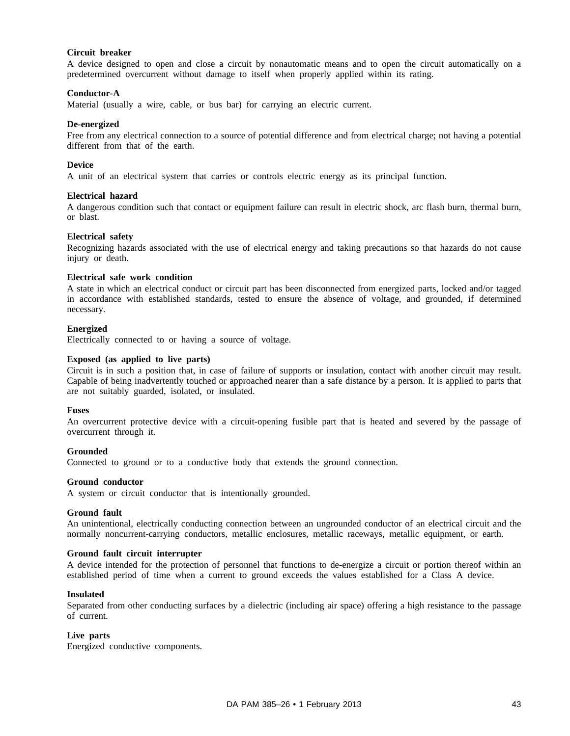# **Circuit breaker**

A device designed to open and close a circuit by nonautomatic means and to open the circuit automatically on a predetermined overcurrent without damage to itself when properly applied within its rating.

# **Conductor-A**

Material (usually a wire, cable, or bus bar) for carrying an electric current.

### **De-energized**

Free from any electrical connection to a source of potential difference and from electrical charge; not having a potential different from that of the earth.

### **Device**

A unit of an electrical system that carries or controls electric energy as its principal function.

# **Electrical hazard**

A dangerous condition such that contact or equipment failure can result in electric shock, arc flash burn, thermal burn, or blast.

# **Electrical safety**

Recognizing hazards associated with the use of electrical energy and taking precautions so that hazards do not cause injury or death.

### **Electrical safe work condition**

A state in which an electrical conduct or circuit part has been disconnected from energized parts, locked and/or tagged in accordance with established standards, tested to ensure the absence of voltage, and grounded, if determined necessary.

# **Energized**

Electrically connected to or having a source of voltage.

# **Exposed (as applied to live parts)**

Circuit is in such a position that, in case of failure of supports or insulation, contact with another circuit may result. Capable of being inadvertently touched or approached nearer than a safe distance by a person. It is applied to parts that are not suitably guarded, isolated, or insulated.

### **Fuses**

An overcurrent protective device with a circuit-opening fusible part that is heated and severed by the passage of overcurrent through it.

### **Grounded**

Connected to ground or to a conductive body that extends the ground connection.

### **Ground conductor**

A system or circuit conductor that is intentionally grounded.

### **Ground fault**

An unintentional, electrically conducting connection between an ungrounded conductor of an electrical circuit and the normally noncurrent-carrying conductors, metallic enclosures, metallic raceways, metallic equipment, or earth.

### **Ground fault circuit interrupter**

A device intended for the protection of personnel that functions to de-energize a circuit or portion thereof within an established period of time when a current to ground exceeds the values established for a Class A device.

# **Insulated**

Separated from other conducting surfaces by a dielectric (including air space) offering a high resistance to the passage of current.

# **Live parts**

Energized conductive components.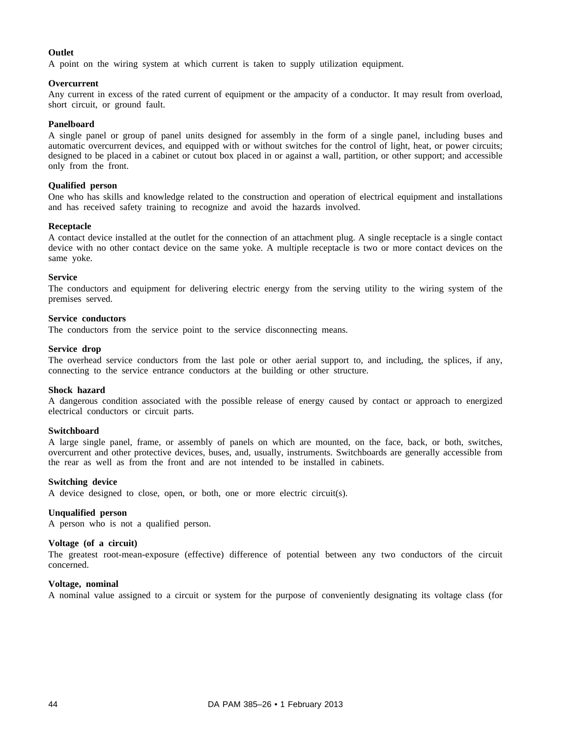# **Outlet**

A point on the wiring system at which current is taken to supply utilization equipment.

# **Overcurrent**

Any current in excess of the rated current of equipment or the ampacity of a conductor. It may result from overload, short circuit, or ground fault.

# **Panelboard**

A single panel or group of panel units designed for assembly in the form of a single panel, including buses and automatic overcurrent devices, and equipped with or without switches for the control of light, heat, or power circuits; designed to be placed in a cabinet or cutout box placed in or against a wall, partition, or other support; and accessible only from the front.

# **Qualified person**

One who has skills and knowledge related to the construction and operation of electrical equipment and installations and has received safety training to recognize and avoid the hazards involved.

# **Receptacle**

A contact device installed at the outlet for the connection of an attachment plug. A single receptacle is a single contact device with no other contact device on the same yoke. A multiple receptacle is two or more contact devices on the same yoke.

# **Service**

The conductors and equipment for delivering electric energy from the serving utility to the wiring system of the premises served.

# **Service conductors**

The conductors from the service point to the service disconnecting means.

# **Service drop**

The overhead service conductors from the last pole or other aerial support to, and including, the splices, if any, connecting to the service entrance conductors at the building or other structure.

### **Shock hazard**

A dangerous condition associated with the possible release of energy caused by contact or approach to energized electrical conductors or circuit parts.

### **Switchboard**

A large single panel, frame, or assembly of panels on which are mounted, on the face, back, or both, switches, overcurrent and other protective devices, buses, and, usually, instruments. Switchboards are generally accessible from the rear as well as from the front and are not intended to be installed in cabinets.

### **Switching device**

A device designed to close, open, or both, one or more electric circuit(s).

# **Unqualified person**

A person who is not a qualified person.

# **Voltage (of a circuit)**

The greatest root-mean-exposure (effective) difference of potential between any two conductors of the circuit concerned.

### **Voltage, nominal**

A nominal value assigned to a circuit or system for the purpose of conveniently designating its voltage class (for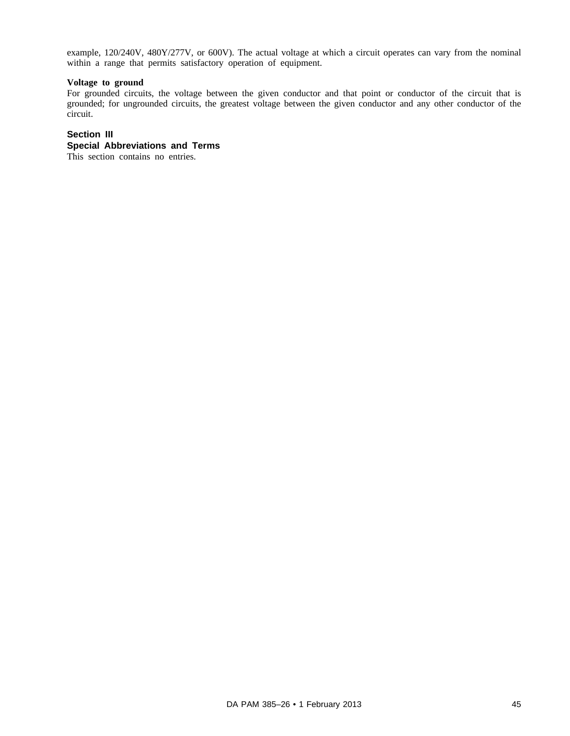example, 120/240V, 480Y/277V, or 600V). The actual voltage at which a circuit operates can vary from the nominal within a range that permits satisfactory operation of equipment.

# **Voltage to ground**

For grounded circuits, the voltage between the given conductor and that point or conductor of the circuit that is grounded; for ungrounded circuits, the greatest voltage between the given conductor and any other conductor of the circuit.

# **Section III**

# **Special Abbreviations and Terms**

This section contains no entries.